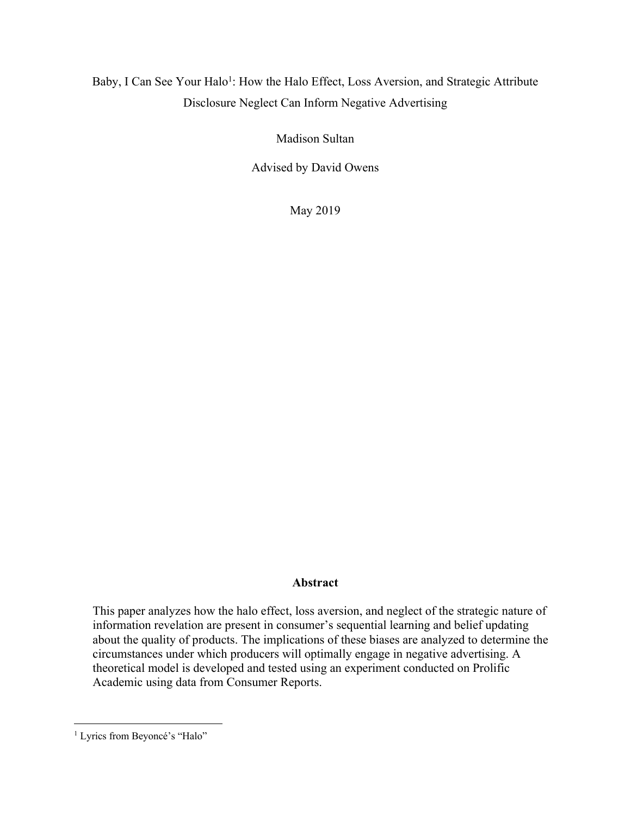# Baby, I Can See Your Halo<sup>1</sup>: How the Halo Effect, Loss Aversion, and Strategic Attribute Disclosure Neglect Can Inform Negative Advertising

Madison Sultan

Advised by David Owens

May 2019

## **Abstract**

This paper analyzes how the halo effect, loss aversion, and neglect of the strategic nature of information revelation are present in consumer's sequential learning and belief updating about the quality of products. The implications of these biases are analyzed to determine the circumstances under which producers will optimally engage in negative advertising. A theoretical model is developed and tested using an experiment conducted on Prolific Academic using data from Consumer Reports.

 $\overline{a}$ 

<sup>&</sup>lt;sup>1</sup> Lyrics from Beyoncé's "Halo"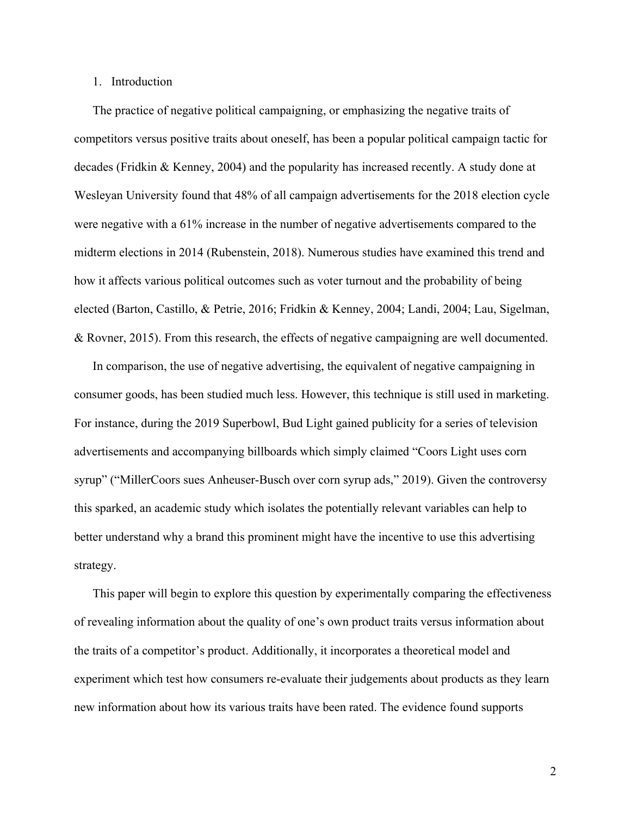# 1. Introduction

The practice of negative political campaigning, or emphasizing the negative traits of competitors versus positive traits about oneself, has been a popular political campaign tactic for decades (Fridkin & Kenney, 2004) and the popularity has increased recently. A study done at Wesleyan University found that 48% of all campaign advertisements for the 2018 election cycle were negative with a 61% increase in the number of negative advertisements compared to the midterm elections in 2014 (Rubenstein, 2018). Numerous studies have examined this trend and how it affects various political outcomes such as voter turnout and the probability of being elected (Barton, Castillo, & Petrie, 2016; Fridkin & Kenney, 2004; Landi, 2004; Lau, Sigelman, & Rovner, 2015). From this research, the effects of negative campaigning are well documented.

In comparison, the use of negative advertising, the equivalent of negative campaigning in consumer goods, has been studied much less. However, this technique is still used in marketing. For instance, during the 2019 Superbowl, Bud Light gained publicity for a series of television advertisements and accompanying billboards which simply claimed "Coors Light uses corn syrup" ("MillerCoors sues Anheuser-Busch over corn syrup ads," 2019). Given the controversy this sparked, an academic study which isolates the potentially relevant variables can help to better understand why a brand this prominent might have the incentive to use this advertising strategy.

This paper will begin to explore this question by experimentally comparing the effectiveness of revealing information about the quality of one's own product traits versus information about the traits of a competitor's product. Additionally, it incorporates a theoretical model and experiment which test how consumers re-evaluate their judgements about products as they learn new information about how its various traits have been rated. The evidence found supports

2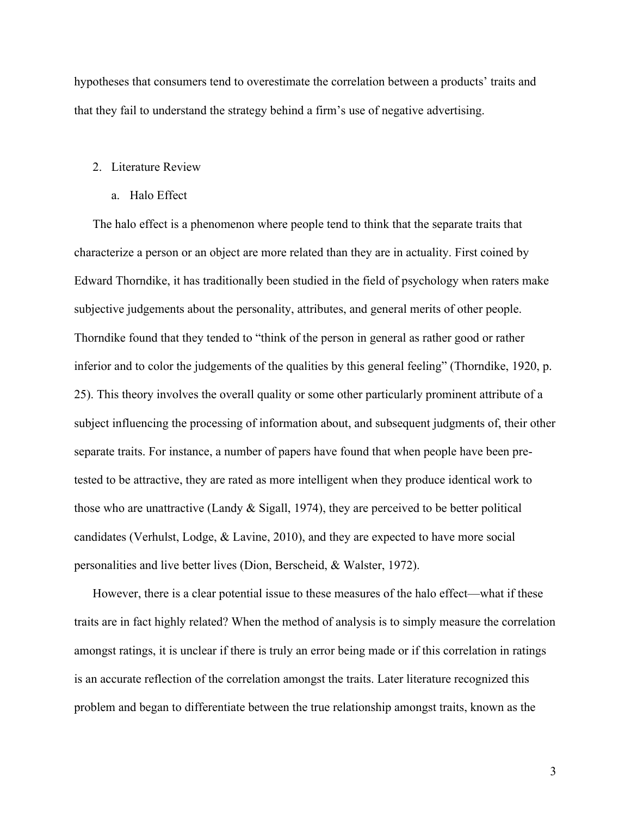hypotheses that consumers tend to overestimate the correlation between a products' traits and that they fail to understand the strategy behind a firm's use of negative advertising.

#### 2. Literature Review

a. Halo Effect

The halo effect is a phenomenon where people tend to think that the separate traits that characterize a person or an object are more related than they are in actuality. First coined by Edward Thorndike, it has traditionally been studied in the field of psychology when raters make subjective judgements about the personality, attributes, and general merits of other people. Thorndike found that they tended to "think of the person in general as rather good or rather inferior and to color the judgements of the qualities by this general feeling" (Thorndike, 1920, p. 25). This theory involves the overall quality or some other particularly prominent attribute of a subject influencing the processing of information about, and subsequent judgments of, their other separate traits. For instance, a number of papers have found that when people have been pretested to be attractive, they are rated as more intelligent when they produce identical work to those who are unattractive (Landy & Sigall, 1974), they are perceived to be better political candidates (Verhulst, Lodge, & Lavine, 2010), and they are expected to have more social personalities and live better lives (Dion, Berscheid, & Walster, 1972).

However, there is a clear potential issue to these measures of the halo effect—what if these traits are in fact highly related? When the method of analysis is to simply measure the correlation amongst ratings, it is unclear if there is truly an error being made or if this correlation in ratings is an accurate reflection of the correlation amongst the traits. Later literature recognized this problem and began to differentiate between the true relationship amongst traits, known as the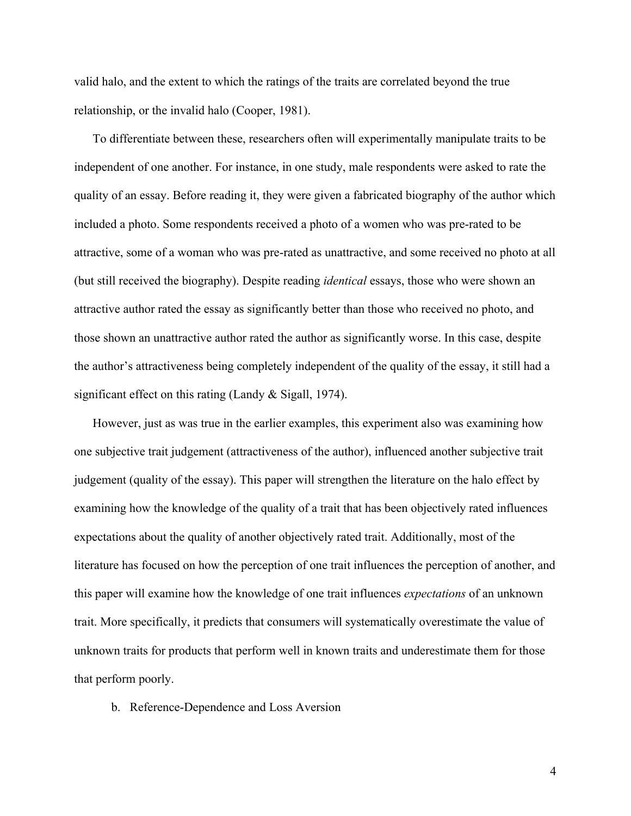valid halo, and the extent to which the ratings of the traits are correlated beyond the true relationship, or the invalid halo (Cooper, 1981).

To differentiate between these, researchers often will experimentally manipulate traits to be independent of one another. For instance, in one study, male respondents were asked to rate the quality of an essay. Before reading it, they were given a fabricated biography of the author which included a photo. Some respondents received a photo of a women who was pre-rated to be attractive, some of a woman who was pre-rated as unattractive, and some received no photo at all (but still received the biography). Despite reading *identical* essays, those who were shown an attractive author rated the essay as significantly better than those who received no photo, and those shown an unattractive author rated the author as significantly worse. In this case, despite the author's attractiveness being completely independent of the quality of the essay, it still had a significant effect on this rating (Landy & Sigall, 1974).

However, just as was true in the earlier examples, this experiment also was examining how one subjective trait judgement (attractiveness of the author), influenced another subjective trait judgement (quality of the essay). This paper will strengthen the literature on the halo effect by examining how the knowledge of the quality of a trait that has been objectively rated influences expectations about the quality of another objectively rated trait. Additionally, most of the literature has focused on how the perception of one trait influences the perception of another, and this paper will examine how the knowledge of one trait influences *expectations* of an unknown trait. More specifically, it predicts that consumers will systematically overestimate the value of unknown traits for products that perform well in known traits and underestimate them for those that perform poorly.

b. Reference-Dependence and Loss Aversion

4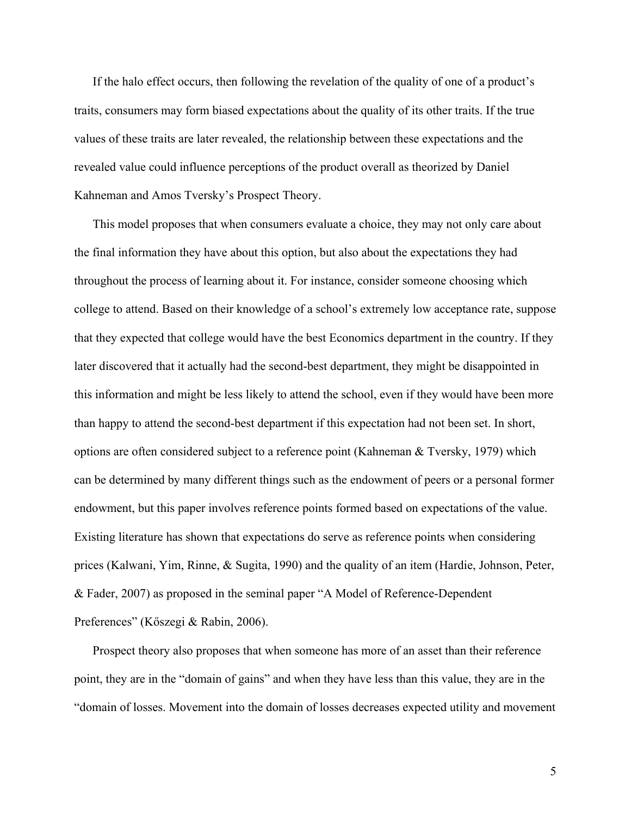If the halo effect occurs, then following the revelation of the quality of one of a product's traits, consumers may form biased expectations about the quality of its other traits. If the true values of these traits are later revealed, the relationship between these expectations and the revealed value could influence perceptions of the product overall as theorized by Daniel Kahneman and Amos Tversky's Prospect Theory.

This model proposes that when consumers evaluate a choice, they may not only care about the final information they have about this option, but also about the expectations they had throughout the process of learning about it. For instance, consider someone choosing which college to attend. Based on their knowledge of a school's extremely low acceptance rate, suppose that they expected that college would have the best Economics department in the country. If they later discovered that it actually had the second-best department, they might be disappointed in this information and might be less likely to attend the school, even if they would have been more than happy to attend the second-best department if this expectation had not been set. In short, options are often considered subject to a reference point (Kahneman & Tversky, 1979) which can be determined by many different things such as the endowment of peers or a personal former endowment, but this paper involves reference points formed based on expectations of the value. Existing literature has shown that expectations do serve as reference points when considering prices (Kalwani, Yim, Rinne, & Sugita, 1990) and the quality of an item (Hardie, Johnson, Peter, & Fader, 2007) as proposed in the seminal paper "A Model of Reference-Dependent Preferences" (Kőszegi & Rabin, 2006).

Prospect theory also proposes that when someone has more of an asset than their reference point, they are in the "domain of gains" and when they have less than this value, they are in the "domain of losses. Movement into the domain of losses decreases expected utility and movement

5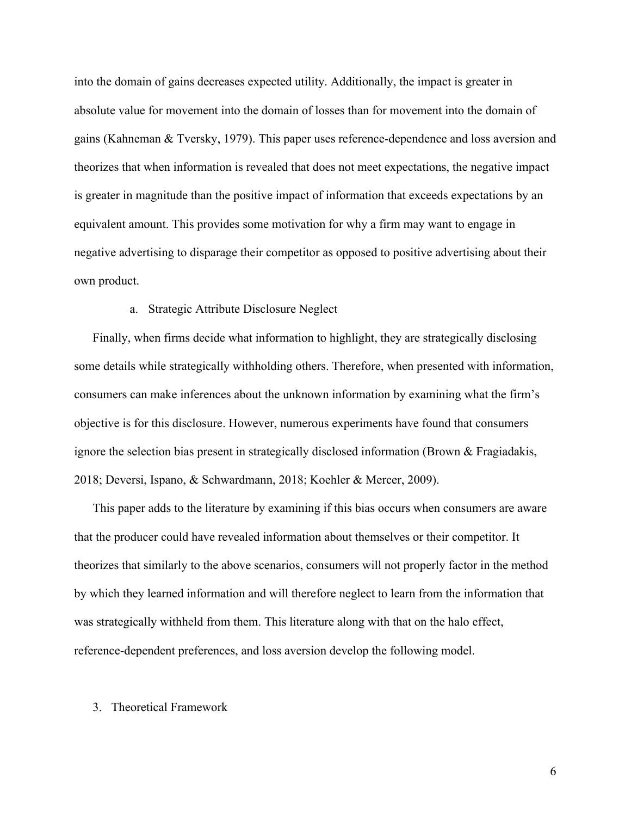into the domain of gains decreases expected utility. Additionally, the impact is greater in absolute value for movement into the domain of losses than for movement into the domain of gains (Kahneman & Tversky, 1979). This paper uses reference-dependence and loss aversion and theorizes that when information is revealed that does not meet expectations, the negative impact is greater in magnitude than the positive impact of information that exceeds expectations by an equivalent amount. This provides some motivation for why a firm may want to engage in negative advertising to disparage their competitor as opposed to positive advertising about their own product.

# a. Strategic Attribute Disclosure Neglect

Finally, when firms decide what information to highlight, they are strategically disclosing some details while strategically withholding others. Therefore, when presented with information, consumers can make inferences about the unknown information by examining what the firm's objective is for this disclosure. However, numerous experiments have found that consumers ignore the selection bias present in strategically disclosed information (Brown & Fragiadakis, 2018; Deversi, Ispano, & Schwardmann, 2018; Koehler & Mercer, 2009).

This paper adds to the literature by examining if this bias occurs when consumers are aware that the producer could have revealed information about themselves or their competitor. It theorizes that similarly to the above scenarios, consumers will not properly factor in the method by which they learned information and will therefore neglect to learn from the information that was strategically withheld from them. This literature along with that on the halo effect, reference-dependent preferences, and loss aversion develop the following model.

## 3. Theoretical Framework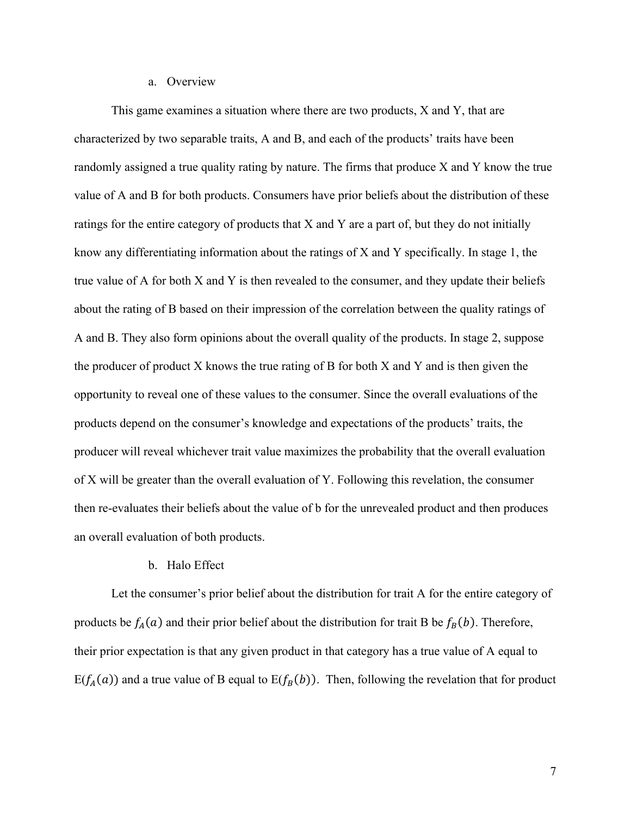#### a. Overview

This game examines a situation where there are two products, X and Y, that are characterized by two separable traits, A and B, and each of the products' traits have been randomly assigned a true quality rating by nature. The firms that produce X and Y know the true value of A and B for both products. Consumers have prior beliefs about the distribution of these ratings for the entire category of products that X and Y are a part of, but they do not initially know any differentiating information about the ratings of  $X$  and  $Y$  specifically. In stage 1, the true value of A for both X and Y is then revealed to the consumer, and they update their beliefs about the rating of B based on their impression of the correlation between the quality ratings of A and B. They also form opinions about the overall quality of the products. In stage 2, suppose the producer of product X knows the true rating of B for both X and Y and is then given the opportunity to reveal one of these values to the consumer. Since the overall evaluations of the products depend on the consumer's knowledge and expectations of the products' traits, the producer will reveal whichever trait value maximizes the probability that the overall evaluation of X will be greater than the overall evaluation of Y. Following this revelation, the consumer then re-evaluates their beliefs about the value of b for the unrevealed product and then produces an overall evaluation of both products.

## b. Halo Effect

Let the consumer's prior belief about the distribution for trait A for the entire category of products be  $f_A(a)$  and their prior belief about the distribution for trait B be  $f_B(b)$ . Therefore, their prior expectation is that any given product in that category has a true value of A equal to  $E(f_A(a))$  and a true value of B equal to  $E(f_B(b))$ . Then, following the revelation that for product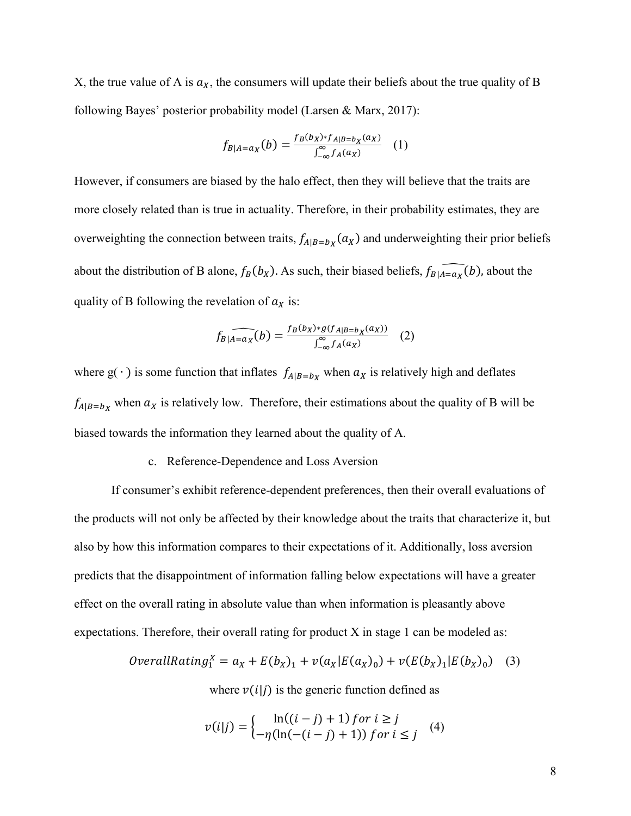X, the true value of A is  $a_X$ , the consumers will update their beliefs about the true quality of B following Bayes' posterior probability model (Larsen & Marx, 2017):

$$
f_{B|A=a_X}(b) = \frac{f_B(b_X) * f_{A|B=b_X}(a_X)}{\int_{-\infty}^{\infty} f_A(a_X)} \quad (1)
$$

However, if consumers are biased by the halo effect, then they will believe that the traits are more closely related than is true in actuality. Therefore, in their probability estimates, they are overweighting the connection between traits,  $f_{A|B=b_X}(a_X)$  and underweighting their prior beliefs about the distribution of B alone,  $f_B(b_X)$ . As such, their biased beliefs,  $f_{B|A=a_X}(b)$ , about the quality of B following the revelation of  $a_x$  is:

$$
f_B|_{A=a_X}(b) = \frac{f_B(b_X) * g(f_{A|B=b_X}(a_X))}{\int_{-\infty}^{\infty} f_A(a_X)} \quad (2)
$$

where  $g(\cdot)$  is some function that inflates  $f_{A|B=b_X}$  when  $a_X$  is relatively high and deflates  $f_{A|B=b_X}$  when  $a_X$  is relatively low. Therefore, their estimations about the quality of B will be biased towards the information they learned about the quality of A.

## c. Reference-Dependence and Loss Aversion

If consumer's exhibit reference-dependent preferences, then their overall evaluations of the products will not only be affected by their knowledge about the traits that characterize it, but also by how this information compares to their expectations of it. Additionally, loss aversion predicts that the disappointment of information falling below expectations will have a greater effect on the overall rating in absolute value than when information is pleasantly above expectations. Therefore, their overall rating for product  $X$  in stage 1 can be modeled as:

*OverallRating*<sup>X</sup><sub>1</sub> = 
$$
a_X + E(b_X)_1 + v(a_X | E(a_X)_0) + v(E(b_X)_1 | E(b_X)_0)
$$
 (3)

where  $v(i|j)$  is the generic function defined as

$$
v(i|j) = \begin{cases} \ln((i-j)+1) \text{ for } i \ge j \\ -\eta(\ln(-(i-j)+1)) \text{ for } i \le j \end{cases}
$$
(4)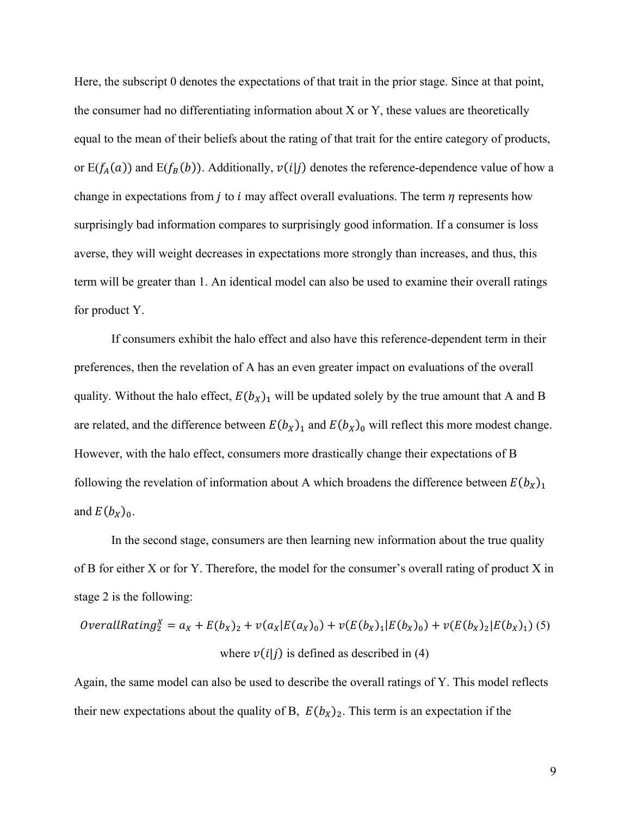Here, the subscript 0 denotes the expectations of that trait in the prior stage. Since at that point, the consumer had no differentiating information about X or Y, these values are theoretically equal to the mean of their beliefs about the rating of that trait for the entire category of products, or  $E(f_A(a))$  and  $E(f_B(b))$ . Additionally,  $v(i|j)$  denotes the reference-dependence value of how a change in expectations from *j* to *i* may affect overall evaluations. The term  $\eta$  represents how surprisingly bad information compares to surprisingly good information. If a consumer is loss averse, they will weight decreases in expectations more strongly than increases, and thus, this term will be greater than 1. An identical model can also be used to examine their overall ratings for product Y.

If consumers exhibit the halo effect and also have this reference-dependent term in their preferences, then the revelation of A has an even greater impact on evaluations of the overall quality. Without the halo effect,  $E(b_X)_1$  will be updated solely by the true amount that A and B are related, and the difference between  $E(b_X)_1$  and  $E(b_X)_0$  will reflect this more modest change. However, with the halo effect, consumers more drastically change their expectations of B following the revelation of information about A which broadens the difference between  $E(b_X)_1$ and  $E(b_x)_0$ .

In the second stage, consumers are then learning new information about the true quality of B for either X or for Y. Therefore, the model for the consumer's overall rating of product X in stage 2 is the following:

*OverallRating*<sup>*X*</sup> = 
$$
a_X + E(b_X)_2 + v(a_X|E(a_X)_0) + v(E(b_X)_1|E(b_X)_0) + v(E(b_X)_2|E(b_X)_1)
$$
 (5)  
where  $v(i|j)$  is defined as described in (4)

Again, the same model can also be used to describe the overall ratings of Y. This model reflects their new expectations about the quality of B,  $E(b_X)_2$ . This term is an expectation if the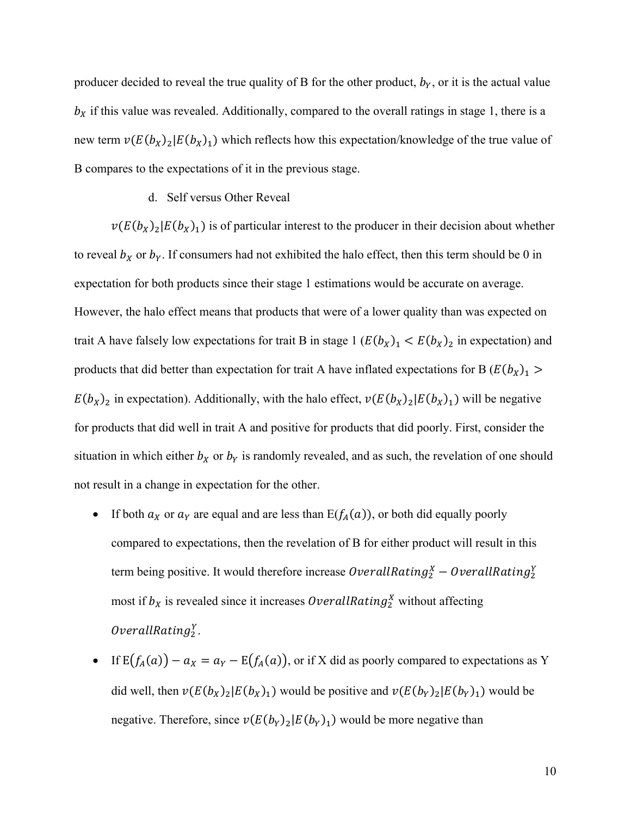producer decided to reveal the true quality of B for the other product,  $b<sub>Y</sub>$ , or it is the actual value  $b<sub>X</sub>$  if this value was revealed. Additionally, compared to the overall ratings in stage 1, there is a new term  $v(E(b_X)_2|E(b_X)_1)$  which reflects how this expectation/knowledge of the true value of B compares to the expectations of it in the previous stage.

#### d. Self versus Other Reveal

 $v(E(b_X)_2|E(b_X)_1)$  is of particular interest to the producer in their decision about whether to reveal  $b<sub>x</sub>$  or  $b<sub>y</sub>$ . If consumers had not exhibited the halo effect, then this term should be 0 in expectation for both products since their stage 1 estimations would be accurate on average. However, the halo effect means that products that were of a lower quality than was expected on trait A have falsely low expectations for trait B in stage  $1 (E(b_X)<sub>1</sub> < E(b_X)<sub>2</sub>$  in expectation) and products that did better than expectation for trait A have inflated expectations for B  $(E(b_X)_1 >$  $E(b_X)_2$  in expectation). Additionally, with the halo effect,  $v(E(b_X)_2|E(b_X)_1)$  will be negative for products that did well in trait A and positive for products that did poorly. First, consider the situation in which either  $b<sub>X</sub>$  or  $b<sub>Y</sub>$  is randomly revealed, and as such, the revelation of one should not result in a change in expectation for the other.

- If both  $a_X$  or  $a_Y$  are equal and are less than  $E(f_A(a))$ , or both did equally poorly compared to expectations, then the revelation of B for either product will result in this term being positive. It would therefore increase  $\mathit{OverallRating}_{2}^{X}-\mathit{OverallRating}_{2}^{Y}$ most if  $b_X$  is revealed since it increases OverallRating<sup>X</sup> without affecting  $Overall Rating_2^Y.$
- If  $E(f_A(a)) a_X = a_Y E(f_A(a))$ , or if X did as poorly compared to expectations as Y did well, then  $v(E(b_X)_2|E(b_X)_1)$  would be positive and  $v(E(b_Y)_2|E(b_Y)_1)$  would be negative. Therefore, since  $v(E(b_Y)_1|E(b_Y)_1)$  would be more negative than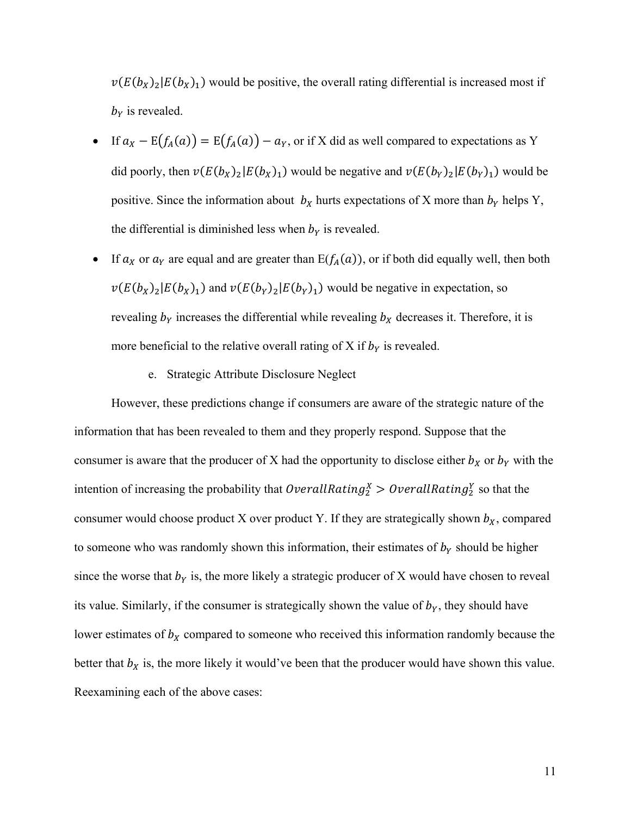$v(E(b_X)_2|E(b_X)_1)$  would be positive, the overall rating differential is increased most if  $b<sub>y</sub>$  is revealed.

- If  $a_X E(f_A(a)) = E(f_A(a)) a_Y$ , or if X did as well compared to expectations as Y did poorly, then  $v(E(b_X)_2|E(b_X)_1)$  would be negative and  $v(E(b_Y)_2|E(b_Y)_1)$  would be positive. Since the information about  $b<sub>X</sub>$  hurts expectations of X more than  $b<sub>Y</sub>$  helps Y, the differential is diminished less when  $b<sub>Y</sub>$  is revealed.
- If  $a_X$  or  $a_Y$  are equal and are greater than  $E(f_A(a))$ , or if both did equally well, then both  $v(E(b_X)_2|E(b_X)_1)$  and  $v(E(b_Y)_2|E(b_Y)_1)$  would be negative in expectation, so revealing  $b_Y$  increases the differential while revealing  $b_X$  decreases it. Therefore, it is more beneficial to the relative overall rating of X if  $b<sub>Y</sub>$  is revealed.
	- e. Strategic Attribute Disclosure Neglect

However, these predictions change if consumers are aware of the strategic nature of the information that has been revealed to them and they properly respond. Suppose that the consumer is aware that the producer of X had the opportunity to disclose either  $b<sub>X</sub>$  or  $b<sub>Y</sub>$  with the intention of increasing the probability that  $\text{OverallRating}_2^X > \text{OverallRating}_2^Y$  so that the consumer would choose product X over product Y. If they are strategically shown  $b<sub>X</sub>$ , compared to someone who was randomly shown this information, their estimates of  $b<sub>Y</sub>$  should be higher since the worse that  $b<sub>Y</sub>$  is, the more likely a strategic producer of X would have chosen to reveal its value. Similarly, if the consumer is strategically shown the value of  $b<sub>Y</sub>$ , they should have lower estimates of  $b<sub>x</sub>$  compared to someone who received this information randomly because the better that  $b<sub>x</sub>$  is, the more likely it would've been that the producer would have shown this value. Reexamining each of the above cases: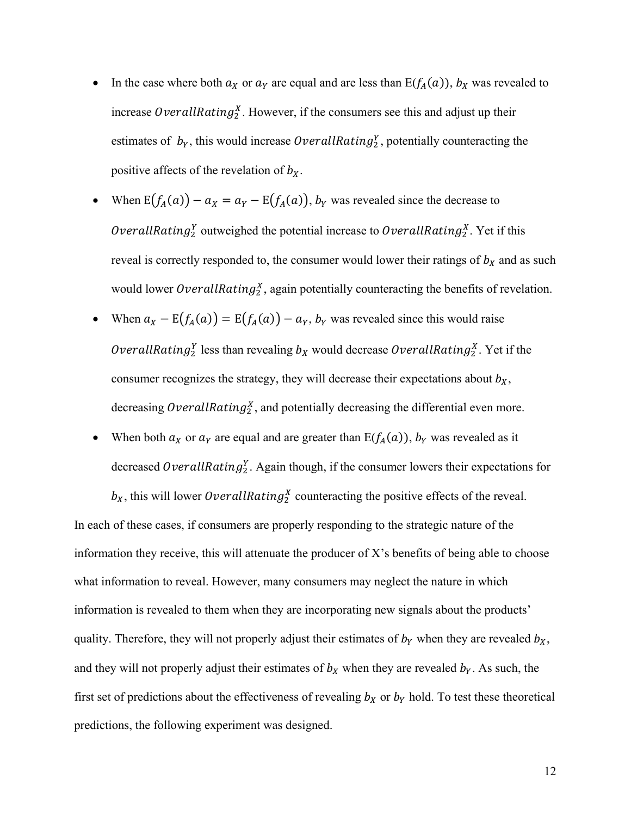- In the case where both  $a_X$  or  $a_Y$  are equal and are less than  $E(f_A(a))$ ,  $b_X$  was revealed to increase OverallRating<sup>Y</sup>. However, if the consumers see this and adjust up their estimates of  $b_Y$ , this would increase OverallRating<sup>Y</sup><sub>2</sub>, potentially counteracting the positive affects of the revelation of  $b<sub>x</sub>$ .
- When  $E(f_A(a)) a_X = a_Y E(f_A(a)), b_Y$  was revealed since the decrease to *OverallRating*<sup>Y</sup> outweighed the potential increase to *OverallRating*<sup>Y</sup><sub>2</sub>. Yet if this reveal is correctly responded to, the consumer would lower their ratings of  $b<sub>X</sub>$  and as such would lower OverallRating<sup>x</sup>, again potentially counteracting the benefits of revelation.
- When  $a_X E(f_A(a)) = E(f_A(a)) a_Y$ ,  $b_Y$  was revealed since this would raise OverallRating<sup>y</sup> less than revealing  $b_X$  would decrease OverallRating<sub>2</sub>. Yet if the consumer recognizes the strategy, they will decrease their expectations about  $b<sub>x</sub>$ , decreasing OverallRating<sub>2</sub><sup>x</sup>, and potentially decreasing the differential even more.
- When both  $a_X$  or  $a_Y$  are equal and are greater than  $E(f_A(a))$ ,  $b_Y$  was revealed as it decreased OverallRating<sub>2</sub>. Again though, if the consumer lowers their expectations for

 $b_X$ , this will lower OverallRating<sup>X</sup> counteracting the positive effects of the reveal. In each of these cases, if consumers are properly responding to the strategic nature of the information they receive, this will attenuate the producer of  $X$ 's benefits of being able to choose what information to reveal. However, many consumers may neglect the nature in which information is revealed to them when they are incorporating new signals about the products' quality. Therefore, they will not properly adjust their estimates of  $b<sub>Y</sub>$  when they are revealed  $b<sub>X</sub>$ , and they will not properly adjust their estimates of  $b<sub>X</sub>$  when they are revealed  $b<sub>Y</sub>$ . As such, the first set of predictions about the effectiveness of revealing  $b<sub>X</sub>$  or  $b<sub>Y</sub>$  hold. To test these theoretical predictions, the following experiment was designed.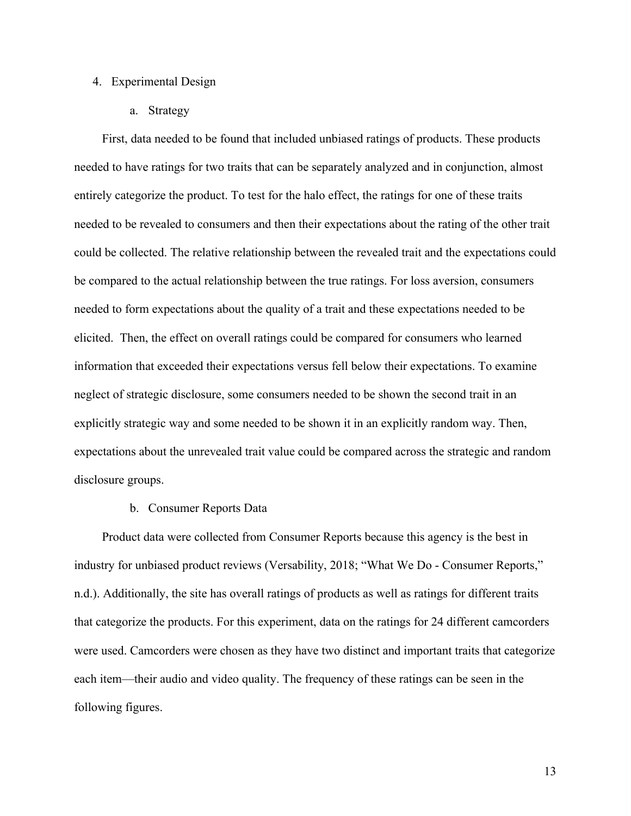## 4. Experimental Design

a. Strategy

First, data needed to be found that included unbiased ratings of products. These products needed to have ratings for two traits that can be separately analyzed and in conjunction, almost entirely categorize the product. To test for the halo effect, the ratings for one of these traits needed to be revealed to consumers and then their expectations about the rating of the other trait could be collected. The relative relationship between the revealed trait and the expectations could be compared to the actual relationship between the true ratings. For loss aversion, consumers needed to form expectations about the quality of a trait and these expectations needed to be elicited. Then, the effect on overall ratings could be compared for consumers who learned information that exceeded their expectations versus fell below their expectations. To examine neglect of strategic disclosure, some consumers needed to be shown the second trait in an explicitly strategic way and some needed to be shown it in an explicitly random way. Then, expectations about the unrevealed trait value could be compared across the strategic and random disclosure groups.

#### b. Consumer Reports Data

Product data were collected from Consumer Reports because this agency is the best in industry for unbiased product reviews (Versability, 2018; "What We Do - Consumer Reports," n.d.). Additionally, the site has overall ratings of products as well as ratings for different traits that categorize the products. For this experiment, data on the ratings for 24 different camcorders were used. Camcorders were chosen as they have two distinct and important traits that categorize each item—their audio and video quality. The frequency of these ratings can be seen in the following figures.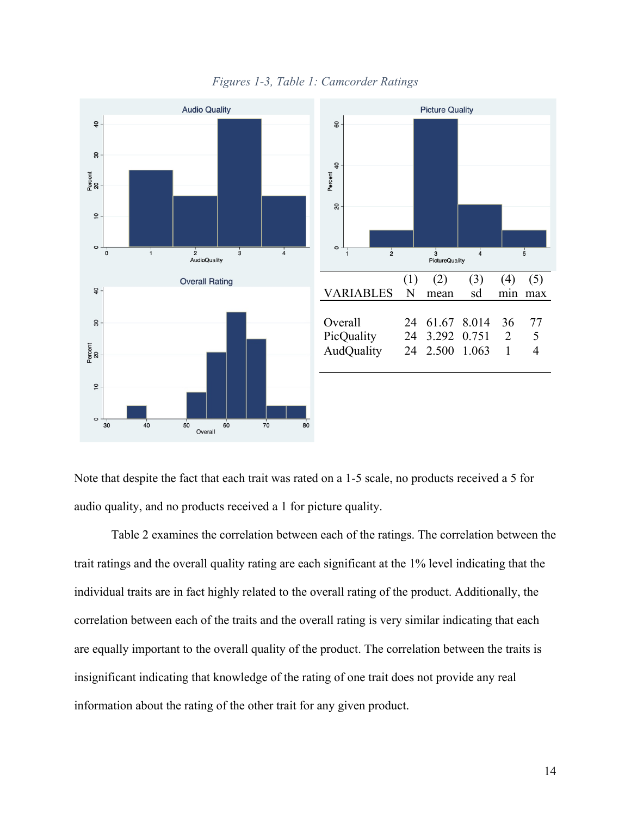

*Figures 1-3, Table 1: Camcorder Ratings*

Note that despite the fact that each trait was rated on a 1-5 scale, no products received a 5 for audio quality, and no products received a 1 for picture quality.

Table 2 examines the correlation between each of the ratings. The correlation between the trait ratings and the overall quality rating are each significant at the 1% level indicating that the individual traits are in fact highly related to the overall rating of the product. Additionally, the correlation between each of the traits and the overall rating is very similar indicating that each are equally important to the overall quality of the product. The correlation between the traits is insignificant indicating that knowledge of the rating of one trait does not provide any real information about the rating of the other trait for any given product.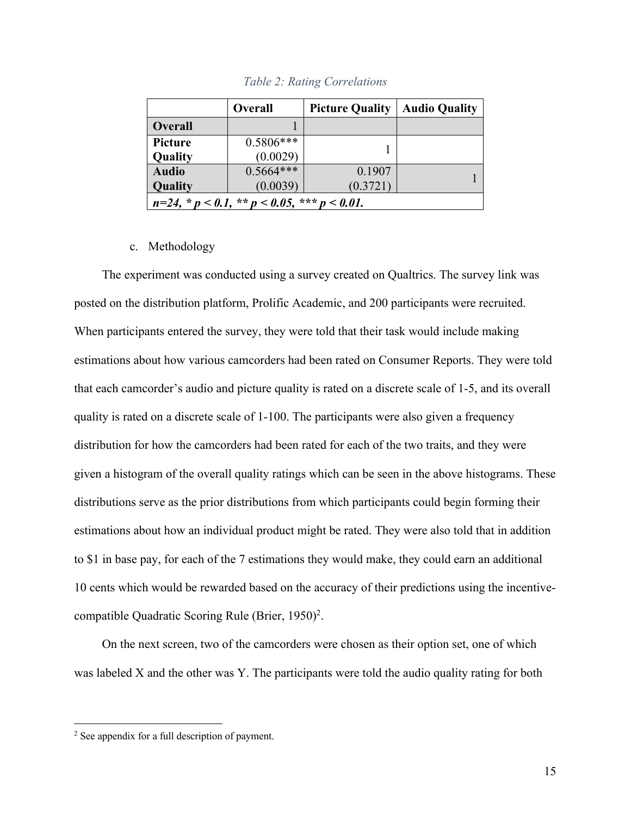|                                                         | <b>Overall</b> | <b>Picture Quality</b> | <b>Audio Quality</b> |  |  |
|---------------------------------------------------------|----------------|------------------------|----------------------|--|--|
| <b>Overall</b>                                          |                |                        |                      |  |  |
| <b>Picture</b>                                          | $0.5806***$    |                        |                      |  |  |
| Quality                                                 | (0.0029)       |                        |                      |  |  |
| <b>Audio</b>                                            | $0.5664***$    | 0.1907                 |                      |  |  |
| Quality                                                 | (0.0039)       | (0.3721)               |                      |  |  |
| $n=24$ , * $p < 0.1$ , ** $p < 0.05$ , *** $p < 0.01$ . |                |                        |                      |  |  |

*Table 2: Rating Correlations*

# c. Methodology

The experiment was conducted using a survey created on Qualtrics. The survey link was posted on the distribution platform, Prolific Academic, and 200 participants were recruited. When participants entered the survey, they were told that their task would include making estimations about how various camcorders had been rated on Consumer Reports. They were told that each camcorder's audio and picture quality is rated on a discrete scale of 1-5, and its overall quality is rated on a discrete scale of 1-100. The participants were also given a frequency distribution for how the camcorders had been rated for each of the two traits, and they were given a histogram of the overall quality ratings which can be seen in the above histograms. These distributions serve as the prior distributions from which participants could begin forming their estimations about how an individual product might be rated. They were also told that in addition to \$1 in base pay, for each of the 7 estimations they would make, they could earn an additional 10 cents which would be rewarded based on the accuracy of their predictions using the incentivecompatible Quadratic Scoring Rule (Brier, 1950)2.

On the next screen, two of the camcorders were chosen as their option set, one of which was labeled X and the other was Y. The participants were told the audio quality rating for both

 $\overline{a}$ 

<sup>2</sup> See appendix for a full description of payment.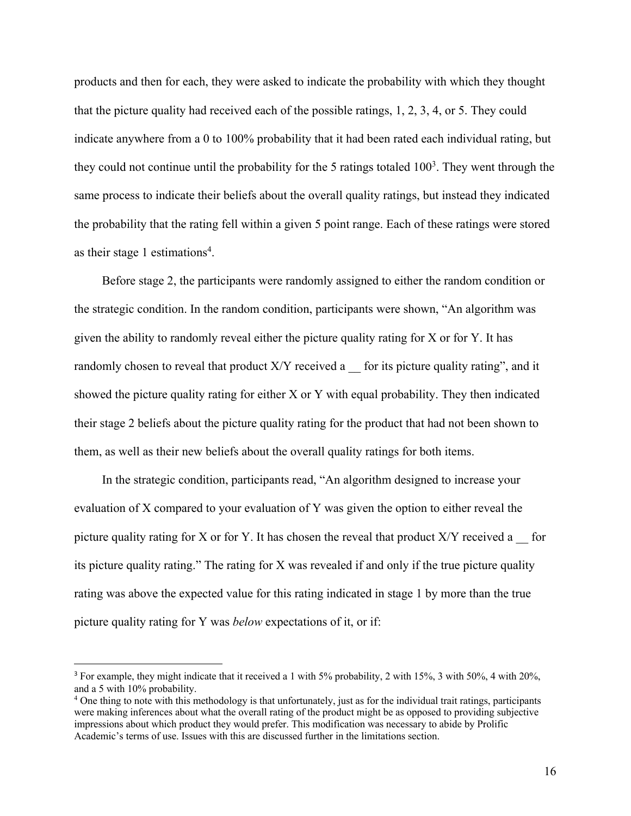products and then for each, they were asked to indicate the probability with which they thought that the picture quality had received each of the possible ratings, 1, 2, 3, 4, or 5. They could indicate anywhere from a 0 to 100% probability that it had been rated each individual rating, but they could not continue until the probability for the 5 ratings totaled  $100<sup>3</sup>$ . They went through the same process to indicate their beliefs about the overall quality ratings, but instead they indicated the probability that the rating fell within a given 5 point range. Each of these ratings were stored as their stage 1 estimations<sup>4</sup>.

Before stage 2, the participants were randomly assigned to either the random condition or the strategic condition. In the random condition, participants were shown, "An algorithm was given the ability to randomly reveal either the picture quality rating for X or for Y. It has randomly chosen to reveal that product  $X/Y$  received a \_\_ for its picture quality rating", and it showed the picture quality rating for either X or Y with equal probability. They then indicated their stage 2 beliefs about the picture quality rating for the product that had not been shown to them, as well as their new beliefs about the overall quality ratings for both items.

In the strategic condition, participants read, "An algorithm designed to increase your evaluation of X compared to your evaluation of Y was given the option to either reveal the picture quality rating for X or for Y. It has chosen the reveal that product  $X/Y$  received a \_\_ for its picture quality rating." The rating for X was revealed if and only if the true picture quality rating was above the expected value for this rating indicated in stage 1 by more than the true picture quality rating for Y was *below* expectations of it, or if:

 <sup>3</sup> For example, they might indicate that it received a 1 with 5% probability, 2 with 15%, 3 with 50%, 4 with 20%, and a 5 with 10% probability.

<sup>4</sup> One thing to note with this methodology is that unfortunately, just as for the individual trait ratings, participants were making inferences about what the overall rating of the product might be as opposed to providing subjective impressions about which product they would prefer. This modification was necessary to abide by Prolific Academic's terms of use. Issues with this are discussed further in the limitations section.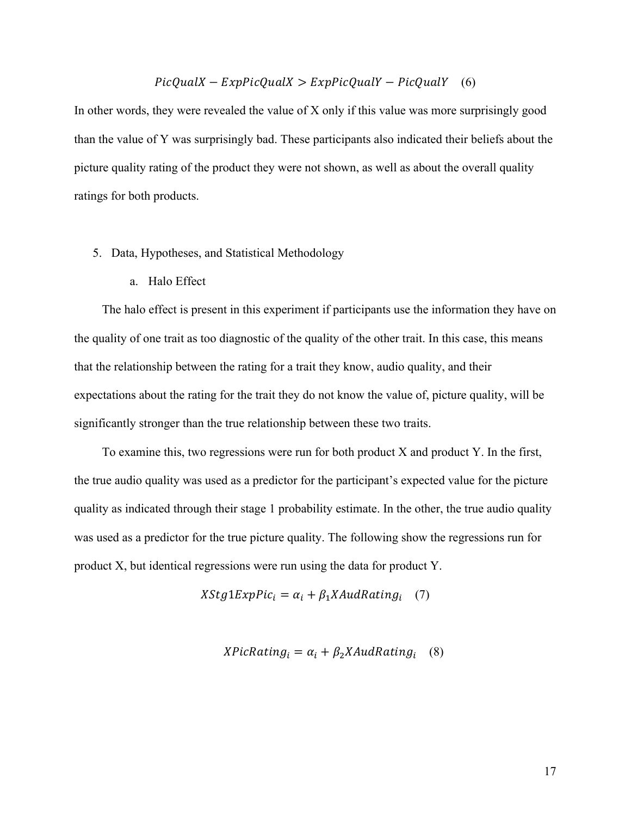# $PicQuadX - ExpPicQuadX > ExpPicQuadY - PicQuadY$  (6)

In other words, they were revealed the value of  $X$  only if this value was more surprisingly good than the value of Y was surprisingly bad. These participants also indicated their beliefs about the picture quality rating of the product they were not shown, as well as about the overall quality ratings for both products.

- 5. Data, Hypotheses, and Statistical Methodology
	- a. Halo Effect

The halo effect is present in this experiment if participants use the information they have on the quality of one trait as too diagnostic of the quality of the other trait. In this case, this means that the relationship between the rating for a trait they know, audio quality, and their expectations about the rating for the trait they do not know the value of, picture quality, will be significantly stronger than the true relationship between these two traits.

To examine this, two regressions were run for both product X and product Y. In the first, the true audio quality was used as a predictor for the participant's expected value for the picture quality as indicated through their stage 1 probability estimate. In the other, the true audio quality was used as a predictor for the true picture quality. The following show the regressions run for product X, but identical regressions were run using the data for product Y.

$$
XStg1ExpPic_i = \alpha_i + \beta_1 X AudRating_i \quad (7)
$$

$$
XPicRating_i = \alpha_i + \beta_2 X AudRating_i \quad (8)
$$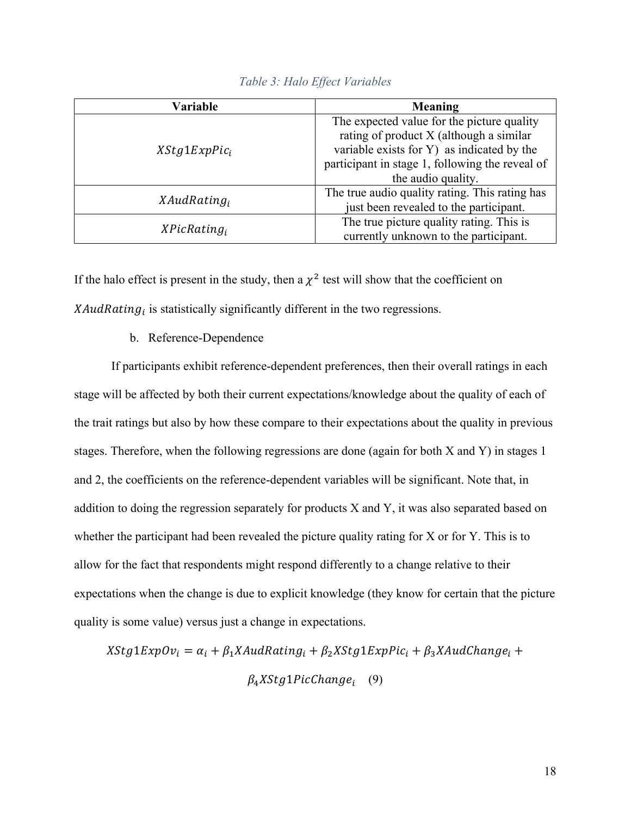| Variable        | Meaning                                         |  |
|-----------------|-------------------------------------------------|--|
|                 | The expected value for the picture quality      |  |
| $XStg1ExpPic_i$ | rating of product X (although a similar         |  |
|                 | variable exists for Y) as indicated by the      |  |
|                 | participant in stage 1, following the reveal of |  |
|                 | the audio quality.                              |  |
|                 | The true audio quality rating. This rating has  |  |
| $XAudRating_i$  | just been revealed to the participant.          |  |
|                 | The true picture quality rating. This is        |  |
| $XPicRating_i$  | currently unknown to the participant.           |  |

*Table 3: Halo Effect Variables*

If the halo effect is present in the study, then a  $\chi^2$  test will show that the coefficient on  $XAudRating_i$  is statistically significantly different in the two regressions.

## b. Reference-Dependence

If participants exhibit reference-dependent preferences, then their overall ratings in each stage will be affected by both their current expectations/knowledge about the quality of each of the trait ratings but also by how these compare to their expectations about the quality in previous stages. Therefore, when the following regressions are done (again for both X and Y) in stages 1 and 2, the coefficients on the reference-dependent variables will be significant. Note that, in addition to doing the regression separately for products X and Y, it was also separated based on whether the participant had been revealed the picture quality rating for X or for Y. This is to allow for the fact that respondents might respond differently to a change relative to their expectations when the change is due to explicit knowledge (they know for certain that the picture quality is some value) versus just a change in expectations.

 $XStg1ExpOv_i = \alpha_i + \beta_1 XAu dRating_i + \beta_2 XStg1ExpPic_i + \beta_3 XAu dChange_i +$  $\beta_4 XStg1 PicChange_i$  (9)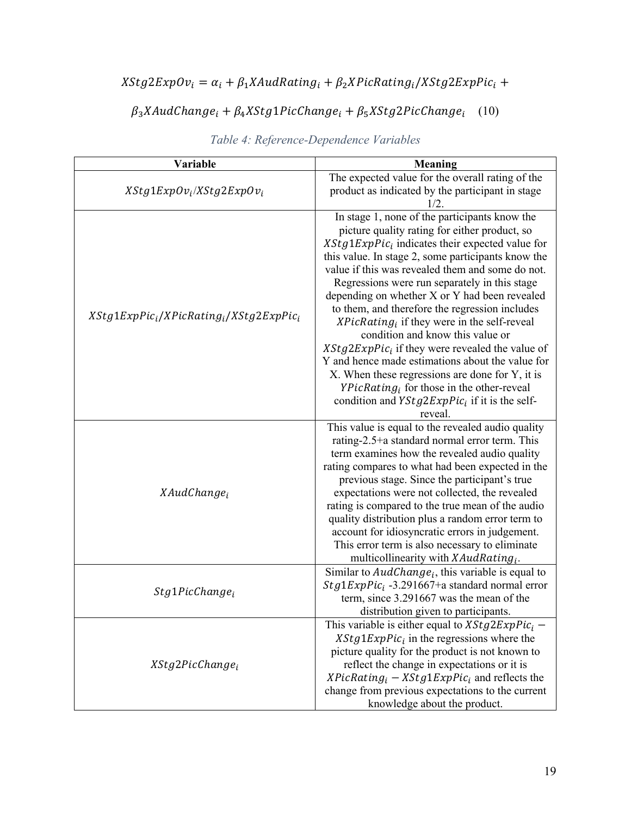# $XStg2ExpOv_i = \alpha_i + \beta_1 XAudRating_i + \beta_2 XPicRating_i/XStg2ExpPic_i +$

# $\beta_3 X \text{A} u d \text{Change}_i + \beta_4 X \text{Stg1} Pic \text{Change}_i + \beta_5 X \text{Stg2} Pic \text{Change}_i$  (10)

| Variable                                   | <b>Meaning</b>                                       |  |  |
|--------------------------------------------|------------------------------------------------------|--|--|
|                                            | The expected value for the overall rating of the     |  |  |
| $XStg1ExpOv_i/XStg2ExpOv_i$                | product as indicated by the participant in stage     |  |  |
|                                            | 1/2.                                                 |  |  |
|                                            | In stage 1, none of the participants know the        |  |  |
|                                            | picture quality rating for either product, so        |  |  |
|                                            | $XStg1ExpPic_i$ indicates their expected value for   |  |  |
|                                            | this value. In stage 2, some participants know the   |  |  |
|                                            | value if this was revealed them and some do not.     |  |  |
|                                            | Regressions were run separately in this stage        |  |  |
|                                            | depending on whether X or Y had been revealed        |  |  |
| $XStg1ExpPic_i/XPicRating_i/XStg2ExpPic_i$ | to them, and therefore the regression includes       |  |  |
|                                            | $XPicRating_i$ if they were in the self-reveal       |  |  |
|                                            | condition and know this value or                     |  |  |
|                                            | $XStg2ExpPic_i$ if they were revealed the value of   |  |  |
|                                            | Y and hence made estimations about the value for     |  |  |
|                                            | X. When these regressions are done for Y, it is      |  |  |
|                                            | $YPickating_i$ for those in the other-reveal         |  |  |
|                                            | condition and $YStg2ExpPic_i$ if it is the self-     |  |  |
|                                            | reveal.                                              |  |  |
|                                            | This value is equal to the revealed audio quality    |  |  |
|                                            | rating-2.5+a standard normal error term. This        |  |  |
|                                            | term examines how the revealed audio quality         |  |  |
|                                            | rating compares to what had been expected in the     |  |  |
|                                            | previous stage. Since the participant's true         |  |  |
| XAudChange <sub>i</sub>                    | expectations were not collected, the revealed        |  |  |
|                                            | rating is compared to the true mean of the audio     |  |  |
|                                            | quality distribution plus a random error term to     |  |  |
|                                            | account for idiosyncratic errors in judgement.       |  |  |
|                                            | This error term is also necessary to eliminate       |  |  |
|                                            | multicollinearity with $XAudRating_i$ .              |  |  |
|                                            | Similar to $AudChange_i$ , this variable is equal to |  |  |
| $Stg1PicChange_i$                          | $Stg1ExpPic_i$ -3.291667+a standard normal error     |  |  |
|                                            | term, since 3.291667 was the mean of the             |  |  |
|                                            | distribution given to participants.                  |  |  |
|                                            | This variable is either equal to $XStg2ExpPic_i$ –   |  |  |
|                                            | $XStg1ExpPic_i$ in the regressions where the         |  |  |
|                                            | picture quality for the product is not known to      |  |  |
| XStg2PicChange <sub>i</sub>                | reflect the change in expectations or it is          |  |  |
|                                            | $XPicRating_i - XStg1ExpPic_i$ and reflects the      |  |  |
|                                            | change from previous expectations to the current     |  |  |
|                                            | knowledge about the product.                         |  |  |

# *Table 4: Reference-Dependence Variables*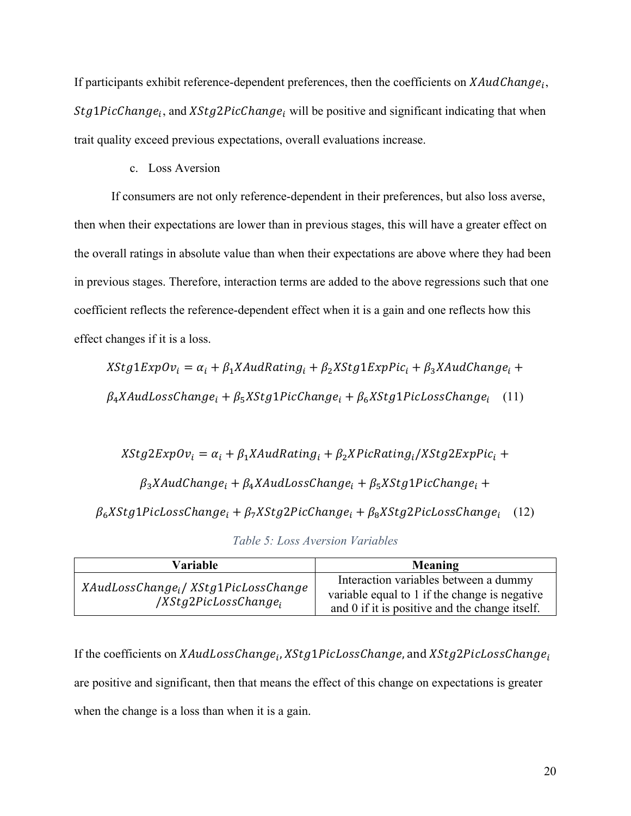If participants exhibit reference-dependent preferences, then the coefficients on  $XAudChange_i$ ,  $Stg1PicChange_i$ , and  $XStg2PicChange_i$  will be positive and significant indicating that when trait quality exceed previous expectations, overall evaluations increase.

## c. Loss Aversion

If consumers are not only reference-dependent in their preferences, but also loss averse, then when their expectations are lower than in previous stages, this will have a greater effect on the overall ratings in absolute value than when their expectations are above where they had been in previous stages. Therefore, interaction terms are added to the above regressions such that one coefficient reflects the reference-dependent effect when it is a gain and one reflects how this effect changes if it is a loss.

 $XStg1ExpOv_i = \alpha_i + \beta_1 XAudRating_i + \beta_2 XStg1ExpPic_i + \beta_3 XAudChange_i +$  $\beta_4$ XAudLossChange<sub>i</sub> +  $\beta_5$ XStg1PicChange<sub>i</sub> +  $\beta_6$ XStg1PicLossChange<sub>i</sub> (11)

 $XStg2ExpOv_i = \alpha_i + \beta_1 XAudRating_i + \beta_2 XPicRating_i/XStg2ExpPic_i +$  $\beta_3$ XAudChange<sub>i</sub> +  $\beta_4$ XAudLossChange<sub>i</sub> +  $\beta_5$ XStg1PicChange<sub>i</sub> +  $\beta_6 X$ Stg1PicLossChange<sub>i</sub> +  $\beta_7 X$ Stg2PicChange<sub>i</sub> +  $\beta_8 X$ Stg2PicLossChange<sub>i</sub> (12)

| Variable                                                                            | Meaning                                                                                                                                  |
|-------------------------------------------------------------------------------------|------------------------------------------------------------------------------------------------------------------------------------------|
| XAudLossChange <sub>i</sub> /XStg1PicLossChange<br>/XStg2PicLossChange <sub>i</sub> | Interaction variables between a dummy<br>variable equal to 1 if the change is negative<br>and 0 if it is positive and the change itself. |

*Table 5: Loss Aversion Variables*

If the coefficients on XAudLossChange<sub>i</sub>, XStg1PicLossChange, and XStg2PicLossChange<sub>i</sub> are positive and significant, then that means the effect of this change on expectations is greater when the change is a loss than when it is a gain.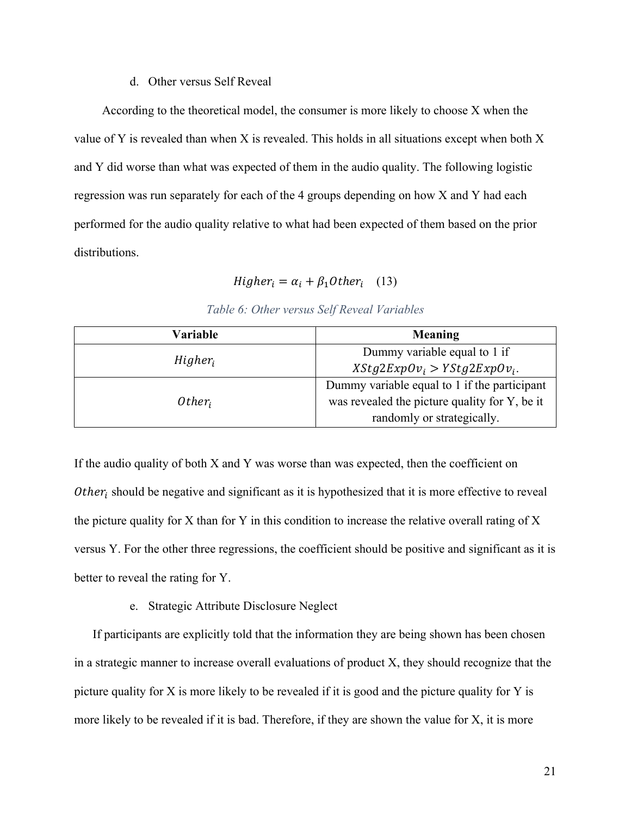#### d. Other versus Self Reveal

According to the theoretical model, the consumer is more likely to choose X when the value of Y is revealed than when X is revealed. This holds in all situations except when both X and Y did worse than what was expected of them in the audio quality. The following logistic regression was run separately for each of the 4 groups depending on how X and Y had each performed for the audio quality relative to what had been expected of them based on the prior distributions.

$$
Higher_i = \alpha_i + \beta_1 Other_i \quad (13)
$$

| Variable   | Meaning                                       |  |
|------------|-----------------------------------------------|--|
|            | Dummy variable equal to 1 if                  |  |
| $Higher_i$ | $XStg2ExpOv_i > YStg2ExpOv_i$ .               |  |
|            | Dummy variable equal to 1 if the participant  |  |
| $Other_i$  | was revealed the picture quality for Y, be it |  |
|            | randomly or strategically.                    |  |

# *Table 6: Other versus Self Reveal Variables*

If the audio quality of both X and Y was worse than was expected, then the coefficient on  $Other<sub>i</sub>$  should be negative and significant as it is hypothesized that it is more effective to reveal the picture quality for X than for Y in this condition to increase the relative overall rating of X versus Y. For the other three regressions, the coefficient should be positive and significant as it is better to reveal the rating for Y.

# e. Strategic Attribute Disclosure Neglect

If participants are explicitly told that the information they are being shown has been chosen in a strategic manner to increase overall evaluations of product X, they should recognize that the picture quality for X is more likely to be revealed if it is good and the picture quality for Y is more likely to be revealed if it is bad. Therefore, if they are shown the value for X, it is more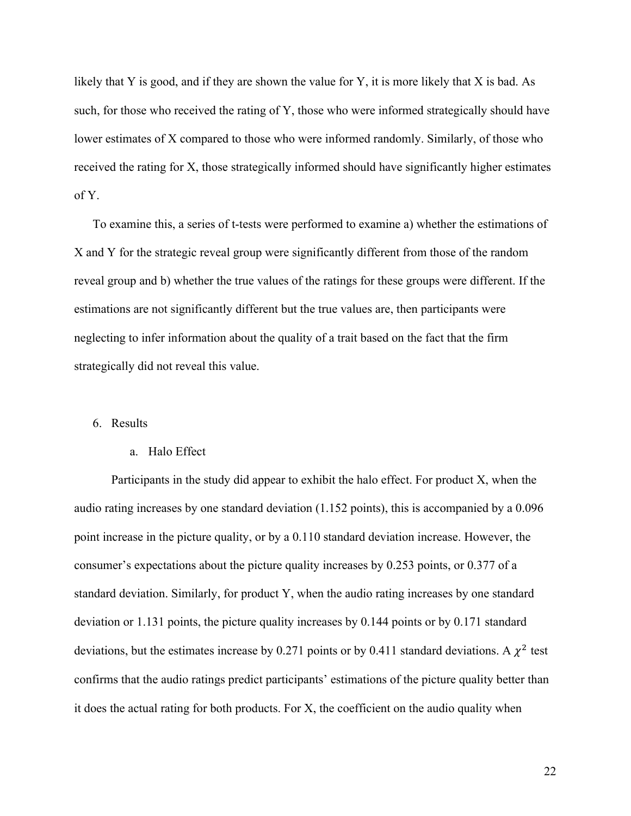likely that Y is good, and if they are shown the value for Y, it is more likely that X is bad. As such, for those who received the rating of Y, those who were informed strategically should have lower estimates of X compared to those who were informed randomly. Similarly, of those who received the rating for X, those strategically informed should have significantly higher estimates of Y.

To examine this, a series of t-tests were performed to examine a) whether the estimations of X and Y for the strategic reveal group were significantly different from those of the random reveal group and b) whether the true values of the ratings for these groups were different. If the estimations are not significantly different but the true values are, then participants were neglecting to infer information about the quality of a trait based on the fact that the firm strategically did not reveal this value.

#### 6. Results

#### a. Halo Effect

Participants in the study did appear to exhibit the halo effect. For product X, when the audio rating increases by one standard deviation (1.152 points), this is accompanied by a 0.096 point increase in the picture quality, or by a 0.110 standard deviation increase. However, the consumer's expectations about the picture quality increases by 0.253 points, or 0.377 of a standard deviation. Similarly, for product Y, when the audio rating increases by one standard deviation or 1.131 points, the picture quality increases by 0.144 points or by 0.171 standard deviations, but the estimates increase by 0.271 points or by 0.411 standard deviations. A  $\chi^2$  test confirms that the audio ratings predict participants' estimations of the picture quality better than it does the actual rating for both products. For X, the coefficient on the audio quality when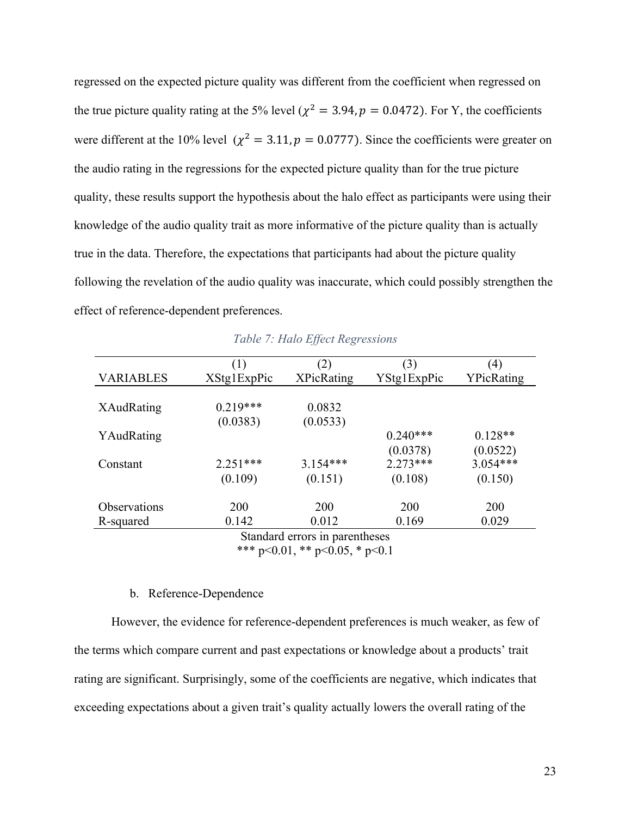regressed on the expected picture quality was different from the coefficient when regressed on the true picture quality rating at the 5% level ( $\chi^2 = 3.94$ ,  $p = 0.0472$ ). For Y, the coefficients were different at the 10% level ( $\chi^2 = 3.11$ ,  $p = 0.0777$ ). Since the coefficients were greater on the audio rating in the regressions for the expected picture quality than for the true picture quality, these results support the hypothesis about the halo effect as participants were using their knowledge of the audio quality trait as more informative of the picture quality than is actually true in the data. Therefore, the expectations that participants had about the picture quality following the revelation of the audio quality was inaccurate, which could possibly strengthen the effect of reference-dependent preferences.

|                               | (1)         | (2)               | (3)         | (4)        |  |  |
|-------------------------------|-------------|-------------------|-------------|------------|--|--|
| <b>VARIABLES</b>              | XStg1ExpPic | <b>XPicRating</b> | YStg1ExpPic | YPicRating |  |  |
|                               |             |                   |             |            |  |  |
| XAudRating                    | $0.219***$  | 0.0832            |             |            |  |  |
|                               | (0.0383)    | (0.0533)          |             |            |  |  |
| YAudRating                    |             |                   | $0.240***$  | $0.128**$  |  |  |
|                               |             |                   | (0.0378)    | (0.0522)   |  |  |
| Constant                      | $2.251***$  | $3.154***$        | $2.273***$  | $3.054***$ |  |  |
|                               | (0.109)     | (0.151)           | (0.108)     | (0.150)    |  |  |
|                               |             |                   |             |            |  |  |
| <b>Observations</b>           | 200         | 200               | 200         | 200        |  |  |
| R-squared                     | 0.142       | 0.012             | 0.169       | 0.029      |  |  |
| Stondard overce in novembogge |             |                   |             |            |  |  |

*Table 7: Halo Effect Regressions*

Standard errors in parentheses \*\*\* p<0.01, \*\* p<0.05, \* p<0.1

## b. Reference-Dependence

However, the evidence for reference-dependent preferences is much weaker, as few of the terms which compare current and past expectations or knowledge about a products' trait rating are significant. Surprisingly, some of the coefficients are negative, which indicates that exceeding expectations about a given trait's quality actually lowers the overall rating of the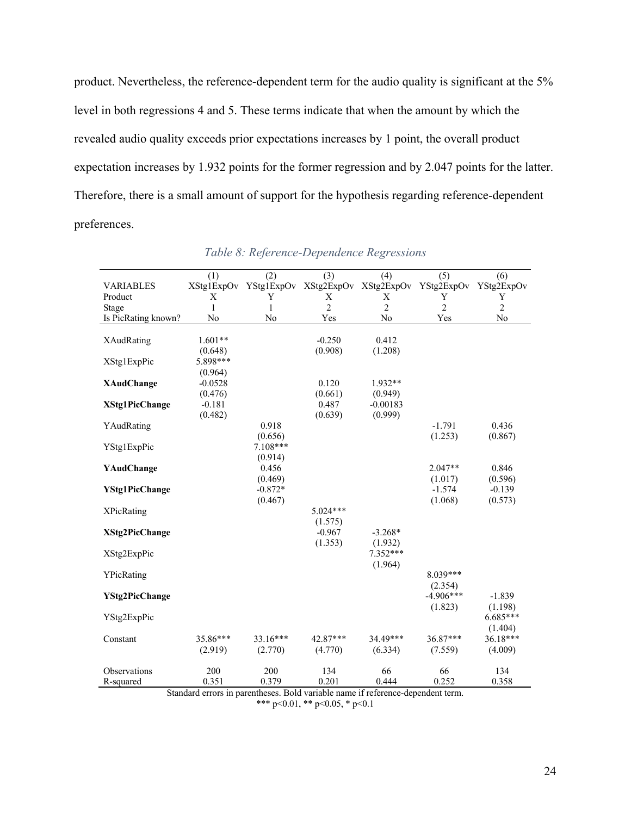product. Nevertheless, the reference-dependent term for the audio quality is significant at the 5% level in both regressions 4 and 5. These terms indicate that when the amount by which the revealed audio quality exceeds prior expectations increases by 1 point, the overall product expectation increases by 1.932 points for the former regression and by 2.047 points for the latter. Therefore, there is a small amount of support for the hypothesis regarding reference-dependent preferences.

|                       | (1)          | (2)                                         | (3)            | (4)            | (5)            | (6)            |
|-----------------------|--------------|---------------------------------------------|----------------|----------------|----------------|----------------|
| <b>VARIABLES</b>      |              | XStg1ExpOv YStg1ExpOv XStg2ExpOv XStg2ExpOv |                |                | YStg2ExpOv     | YStg2ExpOv     |
| Product               | X            | Y                                           | X              | X              | Y              | Y              |
| Stage                 | $\mathbf{1}$ | $\mathbf{1}$                                | $\overline{c}$ | $\overline{2}$ | $\overline{c}$ | $\overline{c}$ |
| Is PicRating known?   | No           | No                                          | Yes            | No             | Yes            | No             |
|                       |              |                                             |                |                |                |                |
| <b>XAudRating</b>     | $1.601**$    |                                             | $-0.250$       | 0.412          |                |                |
|                       | (0.648)      |                                             | (0.908)        | (1.208)        |                |                |
| XStg1ExpPic           | 5.898***     |                                             |                |                |                |                |
|                       | (0.964)      |                                             |                |                |                |                |
| <b>XAudChange</b>     | $-0.0528$    |                                             | 0.120          | $1.932**$      |                |                |
|                       | (0.476)      |                                             | (0.661)        | (0.949)        |                |                |
| <b>XStg1PicChange</b> | $-0.181$     |                                             | 0.487          | $-0.00183$     |                |                |
|                       | (0.482)      |                                             | (0.639)        | (0.999)        |                |                |
| YAudRating            |              | 0.918                                       |                |                | $-1.791$       | 0.436          |
|                       |              | (0.656)                                     |                |                | (1.253)        | (0.867)        |
| YStg1ExpPic           |              | $7.108***$                                  |                |                |                |                |
|                       |              | (0.914)                                     |                |                |                |                |
| YAudChange            |              | 0.456                                       |                |                | $2.047**$      | 0.846          |
|                       |              | (0.469)                                     |                |                | (1.017)        | (0.596)        |
|                       |              | $-0.872*$                                   |                |                | $-1.574$       | $-0.139$       |
| <b>YStg1PicChange</b> |              |                                             |                |                |                |                |
|                       |              | (0.467)                                     |                |                | (1.068)        | (0.573)        |
| <b>XPicRating</b>     |              |                                             | $5.024***$     |                |                |                |
|                       |              |                                             | (1.575)        |                |                |                |
| <b>XStg2PicChange</b> |              |                                             | $-0.967$       | $-3.268*$      |                |                |
|                       |              |                                             | (1.353)        | (1.932)        |                |                |
| XStg2ExpPic           |              |                                             |                | $7.352***$     |                |                |
|                       |              |                                             |                | (1.964)        |                |                |
| YPicRating            |              |                                             |                |                | 8.039***       |                |
|                       |              |                                             |                |                | (2.354)        |                |
| <b>YStg2PicChange</b> |              |                                             |                |                | $-4.906***$    | $-1.839$       |
|                       |              |                                             |                |                | (1.823)        | (1.198)        |
| YStg2ExpPic           |              |                                             |                |                |                | $6.685***$     |
|                       |              |                                             |                |                |                | (1.404)        |
| Constant              | 35.86***     | $33.16***$                                  | 42.87***       | 34.49***       | $36.87***$     | $36.18***$     |
|                       | (2.919)      | (2.770)                                     | (4.770)        | (6.334)        | (7.559)        | (4.009)        |
|                       |              |                                             |                |                |                |                |
| Observations          | 200          | 200                                         | 134            | 66             | 66             | 134            |
| R-squared             | 0.351        | 0.379                                       | 0.201          | 0.444          | 0.252          | 0.358          |

*Table 8: Reference-Dependence Regressions*

Standard errors in parentheses. Bold variable name if reference-dependent term. \*\*\* p<0.01, \*\* p<0.05, \* p<0.1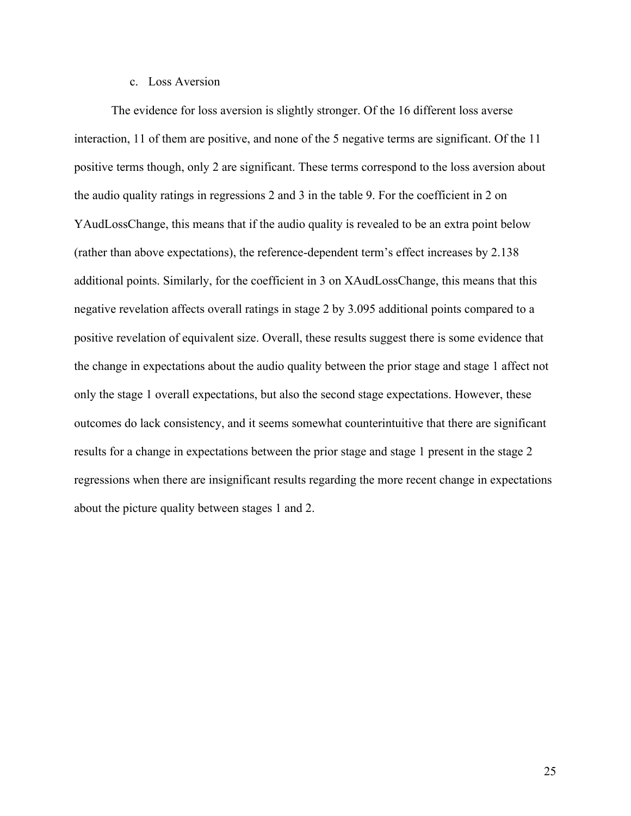## c. Loss Aversion

The evidence for loss aversion is slightly stronger. Of the 16 different loss averse interaction, 11 of them are positive, and none of the 5 negative terms are significant. Of the 11 positive terms though, only 2 are significant. These terms correspond to the loss aversion about the audio quality ratings in regressions 2 and 3 in the table 9. For the coefficient in 2 on YAudLossChange, this means that if the audio quality is revealed to be an extra point below (rather than above expectations), the reference-dependent term's effect increases by 2.138 additional points. Similarly, for the coefficient in 3 on XAudLossChange, this means that this negative revelation affects overall ratings in stage 2 by 3.095 additional points compared to a positive revelation of equivalent size. Overall, these results suggest there is some evidence that the change in expectations about the audio quality between the prior stage and stage 1 affect not only the stage 1 overall expectations, but also the second stage expectations. However, these outcomes do lack consistency, and it seems somewhat counterintuitive that there are significant results for a change in expectations between the prior stage and stage 1 present in the stage 2 regressions when there are insignificant results regarding the more recent change in expectations about the picture quality between stages 1 and 2.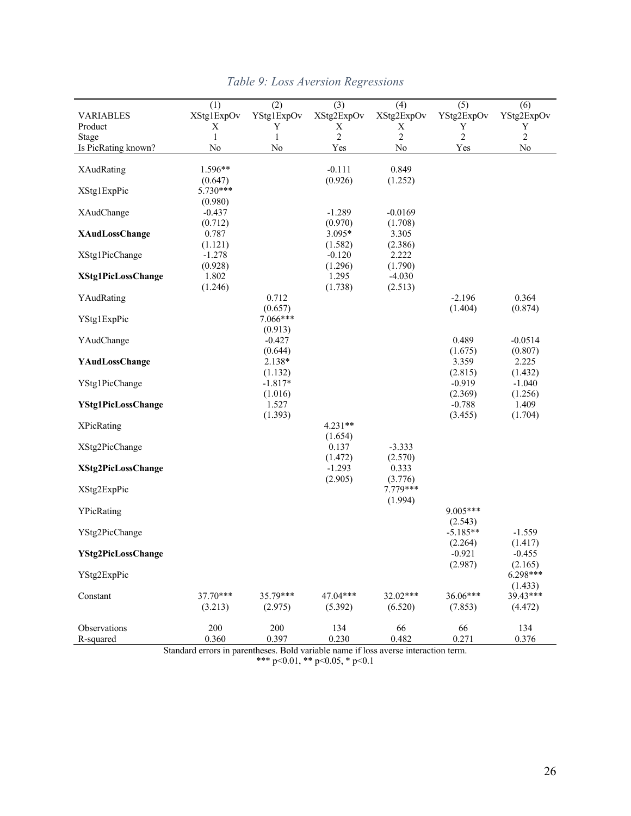| <b>VARIABLES</b>          | (1)<br>XStg1ExpOv   | (2)<br>YStg1ExpOv | (3)<br>XStg2ExpOv   | (4)<br>XStg2ExpOv | (5)<br>YStg2ExpOv | (6)<br>YStg2ExpOv |
|---------------------------|---------------------|-------------------|---------------------|-------------------|-------------------|-------------------|
| Product                   | Х                   | Y                 | Х                   | Х                 | Y                 | Y                 |
| Stage                     | 1                   | $\mathbf{1}$      | $\overline{c}$      | $\overline{2}$    | $\overline{2}$    | $\sqrt{2}$        |
| Is PicRating known?       | No                  | No                | Yes                 | No                | Yes               | No                |
|                           |                     |                   |                     |                   |                   |                   |
| XAudRating                | $1.596**$           |                   | $-0.111$            | 0.849             |                   |                   |
|                           | (0.647)             |                   | (0.926)             |                   |                   |                   |
| XStg1ExpPic               | $5.730***$          |                   |                     | (1.252)           |                   |                   |
|                           | (0.980)             |                   |                     |                   |                   |                   |
| XAudChange                | $-0.437$            |                   | $-1.289$            | $-0.0169$         |                   |                   |
|                           |                     |                   |                     |                   |                   |                   |
| <b>XAudLossChange</b>     | (0.712)<br>0.787    |                   | (0.970)<br>3.095*   | (1.708)<br>3.305  |                   |                   |
|                           |                     |                   |                     |                   |                   |                   |
| XStg1PicChange            | (1.121)<br>$-1.278$ |                   | (1.582)<br>$-0.120$ | (2.386)<br>2.222  |                   |                   |
|                           |                     |                   | (1.296)             |                   |                   |                   |
| <b>XStg1PicLossChange</b> | (0.928)             |                   | 1.295               | (1.790)           |                   |                   |
|                           | 1.802               |                   |                     | $-4.030$          |                   |                   |
|                           | (1.246)             |                   | (1.738)             | (2.513)           |                   |                   |
| YAudRating                |                     | 0.712             |                     |                   | $-2.196$          | 0.364             |
|                           |                     | (0.657)           |                     |                   | (1.404)           | (0.874)           |
| YStg1ExpPic               |                     | 7.066***          |                     |                   |                   |                   |
|                           |                     | (0.913)           |                     |                   |                   |                   |
| YAudChange                |                     | $-0.427$          |                     |                   | 0.489             | $-0.0514$         |
|                           |                     | (0.644)           |                     |                   | (1.675)           | (0.807)           |
| YAudLossChange            |                     | 2.138*            |                     |                   | 3.359             | 2.225             |
|                           |                     | (1.132)           |                     |                   | (2.815)           | (1.432)           |
| YStg1PicChange            |                     | $-1.817*$         |                     |                   | $-0.919$          | $-1.040$          |
|                           |                     | (1.016)           |                     |                   | (2.369)           | (1.256)           |
| <b>YStg1PicLossChange</b> |                     | 1.527             |                     |                   | $-0.788$          | 1.409             |
|                           |                     | (1.393)           |                     |                   | (3.455)           | (1.704)           |
| <b>XPicRating</b>         |                     |                   | $4.231**$           |                   |                   |                   |
|                           |                     |                   | (1.654)             |                   |                   |                   |
| XStg2PicChange            |                     |                   | 0.137               | $-3.333$          |                   |                   |
|                           |                     |                   | (1.472)             | (2.570)           |                   |                   |
| XStg2PicLossChange        |                     |                   | $-1.293$            | 0.333             |                   |                   |
|                           |                     |                   | (2.905)             | (3.776)           |                   |                   |
| XStg2ExpPic               |                     |                   |                     | 7.779***          |                   |                   |
|                           |                     |                   |                     | (1.994)           |                   |                   |
| YPicRating                |                     |                   |                     |                   | 9.005***          |                   |
|                           |                     |                   |                     |                   | (2.543)           |                   |
| YStg2PicChange            |                     |                   |                     |                   | $-5.185**$        | $-1.559$          |
|                           |                     |                   |                     |                   | (2.264)           | (1.417)           |
| YStg2PicLossChange        |                     |                   |                     |                   | $-0.921$          | $-0.455$          |
|                           |                     |                   |                     |                   | (2.987)           | (2.165)           |
| YStg2ExpPic               |                     |                   |                     |                   |                   | 6.298***          |
|                           |                     |                   |                     |                   |                   | (1.433)           |
| Constant                  | 37.70***            | 35.79***          | 47.04***            | 32.02***          | 36.06***          | 39.43***          |
|                           | (3.213)             | (2.975)           | (5.392)             | (6.520)           | (7.853)           | (4.472)           |
|                           |                     |                   |                     |                   |                   |                   |
| Observations              | 200                 | 200               | 134                 | 66                | 66                | 134               |
| R-squared                 | 0.360               | 0.397             | 0.230               | 0.482             | 0.271             | 0.376             |

# *Table 9: Loss Aversion Regressions*

Standard errors in parentheses. Bold variable name if loss averse interaction term. \*\*\* p<0.01, \*\* p<0.05, \* p<0.1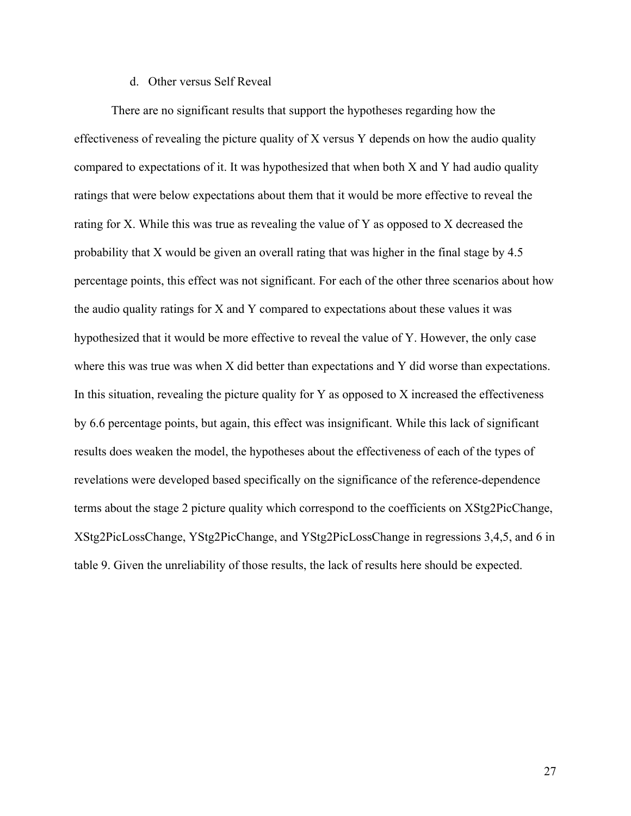#### d. Other versus Self Reveal

There are no significant results that support the hypotheses regarding how the effectiveness of revealing the picture quality of X versus Y depends on how the audio quality compared to expectations of it. It was hypothesized that when both X and Y had audio quality ratings that were below expectations about them that it would be more effective to reveal the rating for X. While this was true as revealing the value of Y as opposed to X decreased the probability that X would be given an overall rating that was higher in the final stage by 4.5 percentage points, this effect was not significant. For each of the other three scenarios about how the audio quality ratings for X and Y compared to expectations about these values it was hypothesized that it would be more effective to reveal the value of Y. However, the only case where this was true was when X did better than expectations and Y did worse than expectations. In this situation, revealing the picture quality for  $Y$  as opposed to  $X$  increased the effectiveness by 6.6 percentage points, but again, this effect was insignificant. While this lack of significant results does weaken the model, the hypotheses about the effectiveness of each of the types of revelations were developed based specifically on the significance of the reference-dependence terms about the stage 2 picture quality which correspond to the coefficients on XStg2PicChange, XStg2PicLossChange, YStg2PicChange, and YStg2PicLossChange in regressions 3,4,5, and 6 in table 9. Given the unreliability of those results, the lack of results here should be expected.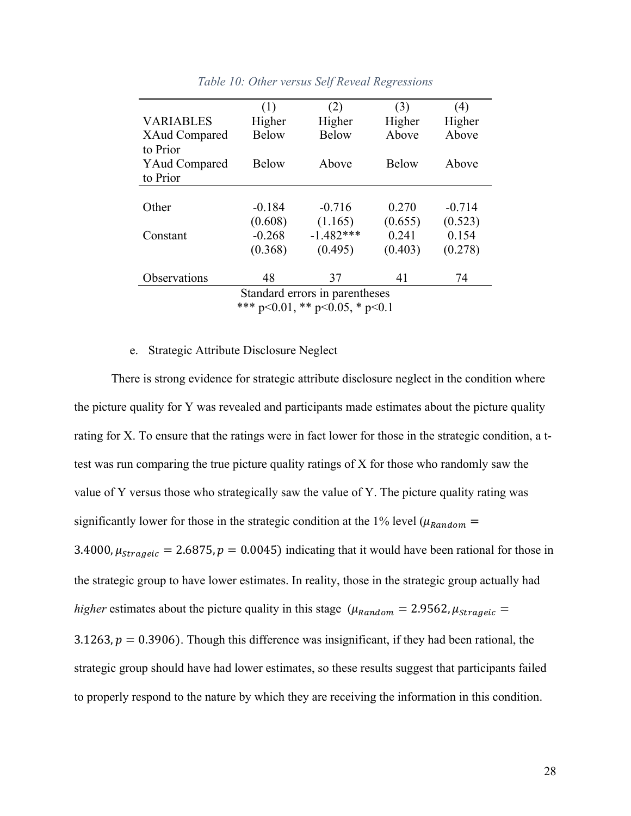|                                        | (1)          | (2)          | (3)          | (4)      |  |  |
|----------------------------------------|--------------|--------------|--------------|----------|--|--|
| <b>VARIABLES</b>                       | Higher       | Higher       | Higher       | Higher   |  |  |
| XAud Compared                          | <b>Below</b> | <b>Below</b> | Above        | Above    |  |  |
| to Prior                               |              |              |              |          |  |  |
| <b>YAud Compared</b>                   | <b>Below</b> | Above        | <b>Below</b> | Above    |  |  |
| to Prior                               |              |              |              |          |  |  |
|                                        |              |              |              |          |  |  |
| Other                                  | $-0.184$     | $-0.716$     | 0.270        | $-0.714$ |  |  |
|                                        | (0.608)      | (1.165)      | (0.655)      | (0.523)  |  |  |
| Constant                               | $-0.268$     | $-1.482***$  | 0.241        | 0.154    |  |  |
|                                        | (0.368)      | (0.495)      | (0.403)      | (0.278)  |  |  |
| Observations                           | 48           | 37           | 41           | 74       |  |  |
| Standard errors in parentheses         |              |              |              |          |  |  |
| *** $p<0.01$ , ** $p<0.05$ , * $p<0.1$ |              |              |              |          |  |  |

### *Table 10: Other versus Self Reveal Regressions*

#### e. Strategic Attribute Disclosure Neglect

There is strong evidence for strategic attribute disclosure neglect in the condition where the picture quality for Y was revealed and participants made estimates about the picture quality rating for X. To ensure that the ratings were in fact lower for those in the strategic condition, a ttest was run comparing the true picture quality ratings of X for those who randomly saw the value of Y versus those who strategically saw the value of Y. The picture quality rating was significantly lower for those in the strategic condition at the 1% level ( $\mu_{Random}$ 3.4000,  $\mu_{stragnetic} = 2.6875$ ,  $p = 0.0045$ ) indicating that it would have been rational for those in the strategic group to have lower estimates. In reality, those in the strategic group actually had *higher* estimates about the picture quality in this stage ( $\mu_{Random} = 2.9562$ ,  $\mu_{strageic} =$ 3.1263,  $p = 0.3906$ ). Though this difference was insignificant, if they had been rational, the strategic group should have had lower estimates, so these results suggest that participants failed to properly respond to the nature by which they are receiving the information in this condition.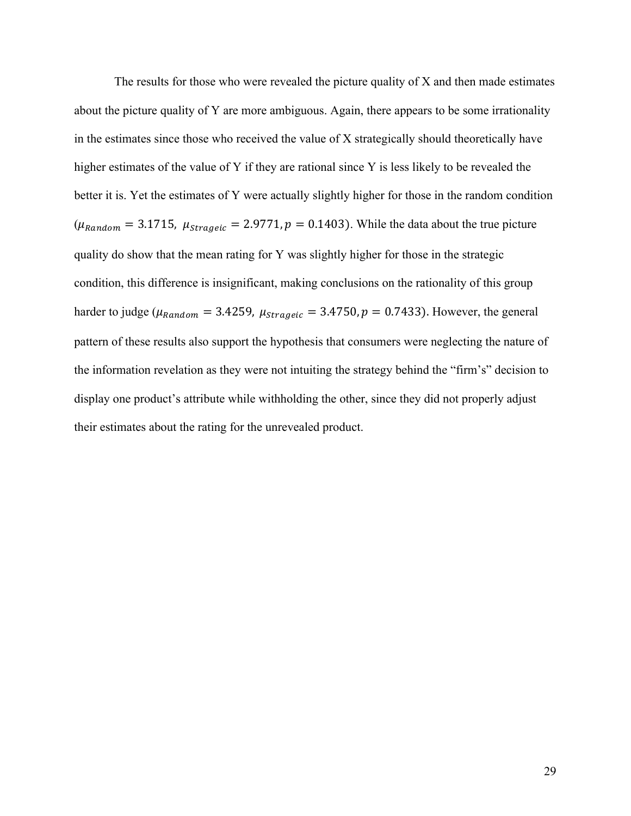The results for those who were revealed the picture quality of  $X$  and then made estimates about the picture quality of Y are more ambiguous. Again, there appears to be some irrationality in the estimates since those who received the value of X strategically should theoretically have higher estimates of the value of Y if they are rational since Y is less likely to be revealed the better it is. Yet the estimates of Y were actually slightly higher for those in the random condition  $(\mu_{Random} = 3.1715, \mu_{strageic} = 2.9771, p = 0.1403)$ . While the data about the true picture quality do show that the mean rating for Y was slightly higher for those in the strategic condition, this difference is insignificant, making conclusions on the rationality of this group harder to judge ( $\mu_{Random} = 3.4259$ ,  $\mu_{strageic} = 3.4750$ ,  $p = 0.7433$ ). However, the general pattern of these results also support the hypothesis that consumers were neglecting the nature of the information revelation as they were not intuiting the strategy behind the "firm's" decision to display one product's attribute while withholding the other, since they did not properly adjust their estimates about the rating for the unrevealed product.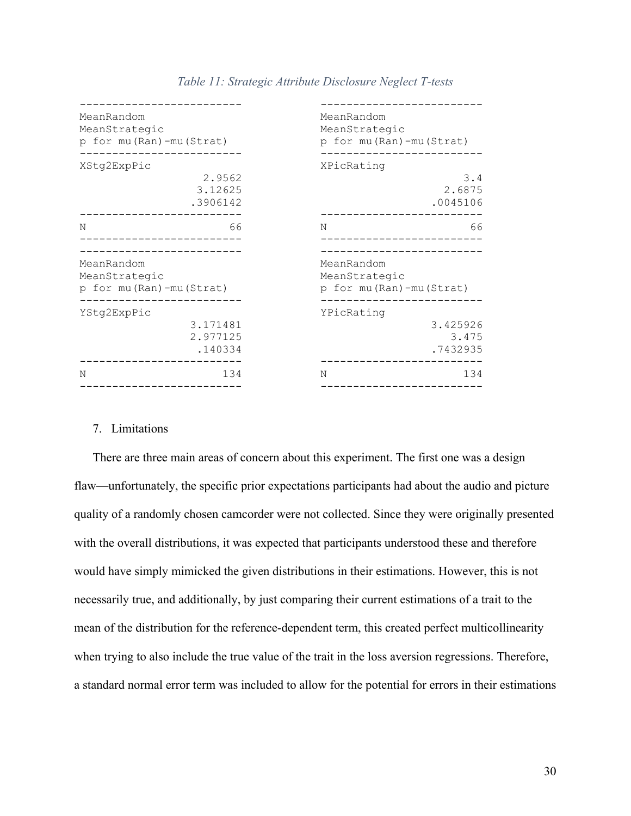| MeanRandom<br>MeanStrategic<br>p for mu (Ran) - mu (Strat) |                                 | MeanRandom<br>MeanStrategic                                | p for mu (Ran) - mu (Strat)   |  |  |
|------------------------------------------------------------|---------------------------------|------------------------------------------------------------|-------------------------------|--|--|
| XStg2ExpPic                                                | 2.9562<br>3.12625<br>.3906142   | XPicRating                                                 | 3.4<br>2.6875<br>.0045106     |  |  |
| N                                                          | 66                              | N                                                          | 66                            |  |  |
| MeanRandom<br>MeanStrategic<br>p for mu (Ran) - mu (Strat) |                                 | MeanRandom<br>MeanStrategic<br>p for mu (Ran) - mu (Strat) |                               |  |  |
| YStq2ExpPic                                                | 3.171481<br>2.977125<br>.140334 | YPicRating                                                 | 3.425926<br>3.475<br>.7432935 |  |  |
| N                                                          | 134                             | N                                                          | 134                           |  |  |

#### *Table 11: Strategic Attribute Disclosure Neglect T-tests*

#### 7. Limitations

There are three main areas of concern about this experiment. The first one was a design flaw—unfortunately, the specific prior expectations participants had about the audio and picture quality of a randomly chosen camcorder were not collected. Since they were originally presented with the overall distributions, it was expected that participants understood these and therefore would have simply mimicked the given distributions in their estimations. However, this is not necessarily true, and additionally, by just comparing their current estimations of a trait to the mean of the distribution for the reference-dependent term, this created perfect multicollinearity when trying to also include the true value of the trait in the loss aversion regressions. Therefore, a standard normal error term was included to allow for the potential for errors in their estimations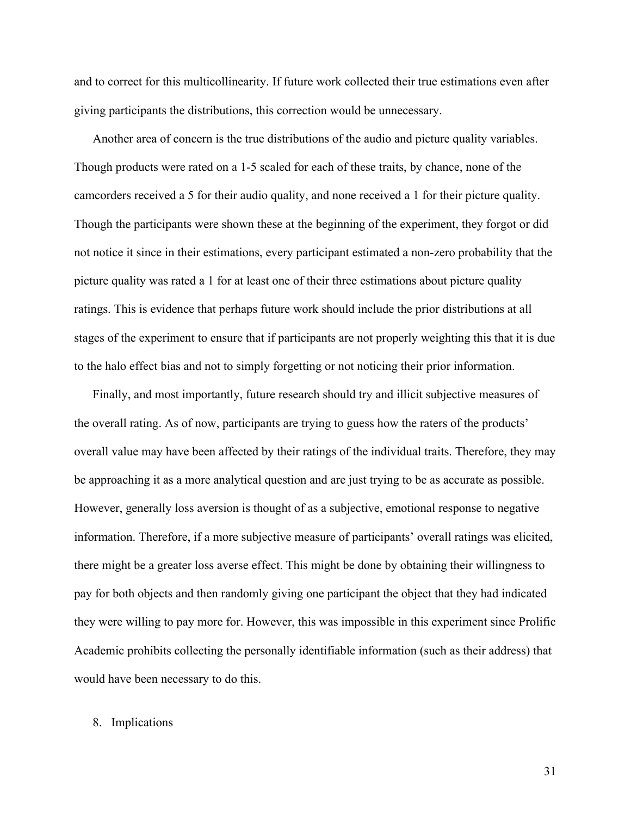and to correct for this multicollinearity. If future work collected their true estimations even after giving participants the distributions, this correction would be unnecessary.

Another area of concern is the true distributions of the audio and picture quality variables. Though products were rated on a 1-5 scaled for each of these traits, by chance, none of the camcorders received a 5 for their audio quality, and none received a 1 for their picture quality. Though the participants were shown these at the beginning of the experiment, they forgot or did not notice it since in their estimations, every participant estimated a non-zero probability that the picture quality was rated a 1 for at least one of their three estimations about picture quality ratings. This is evidence that perhaps future work should include the prior distributions at all stages of the experiment to ensure that if participants are not properly weighting this that it is due to the halo effect bias and not to simply forgetting or not noticing their prior information.

Finally, and most importantly, future research should try and illicit subjective measures of the overall rating. As of now, participants are trying to guess how the raters of the products' overall value may have been affected by their ratings of the individual traits. Therefore, they may be approaching it as a more analytical question and are just trying to be as accurate as possible. However, generally loss aversion is thought of as a subjective, emotional response to negative information. Therefore, if a more subjective measure of participants' overall ratings was elicited, there might be a greater loss averse effect. This might be done by obtaining their willingness to pay for both objects and then randomly giving one participant the object that they had indicated they were willing to pay more for. However, this was impossible in this experiment since Prolific Academic prohibits collecting the personally identifiable information (such as their address) that would have been necessary to do this.

#### 8. Implications

31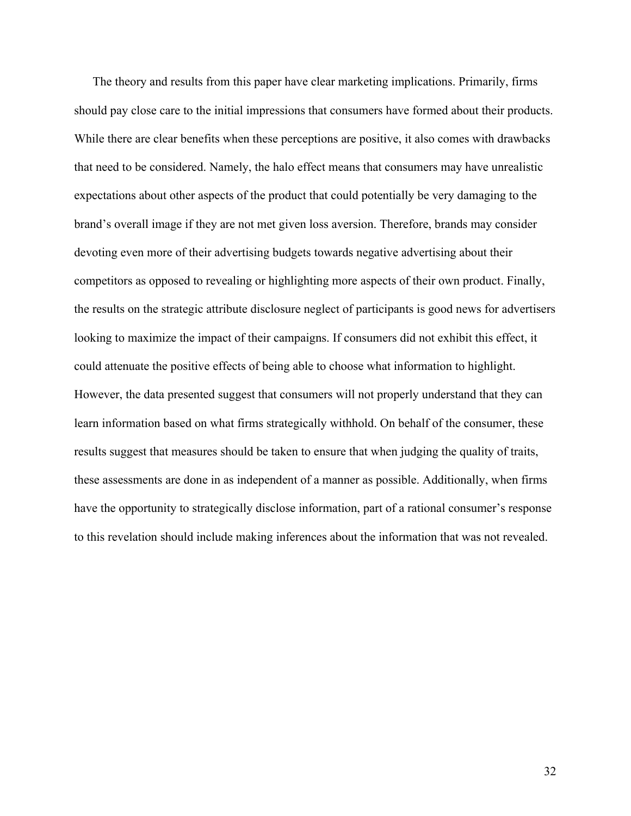The theory and results from this paper have clear marketing implications. Primarily, firms should pay close care to the initial impressions that consumers have formed about their products. While there are clear benefits when these perceptions are positive, it also comes with drawbacks that need to be considered. Namely, the halo effect means that consumers may have unrealistic expectations about other aspects of the product that could potentially be very damaging to the brand's overall image if they are not met given loss aversion. Therefore, brands may consider devoting even more of their advertising budgets towards negative advertising about their competitors as opposed to revealing or highlighting more aspects of their own product. Finally, the results on the strategic attribute disclosure neglect of participants is good news for advertisers looking to maximize the impact of their campaigns. If consumers did not exhibit this effect, it could attenuate the positive effects of being able to choose what information to highlight. However, the data presented suggest that consumers will not properly understand that they can learn information based on what firms strategically withhold. On behalf of the consumer, these results suggest that measures should be taken to ensure that when judging the quality of traits, these assessments are done in as independent of a manner as possible. Additionally, when firms have the opportunity to strategically disclose information, part of a rational consumer's response to this revelation should include making inferences about the information that was not revealed.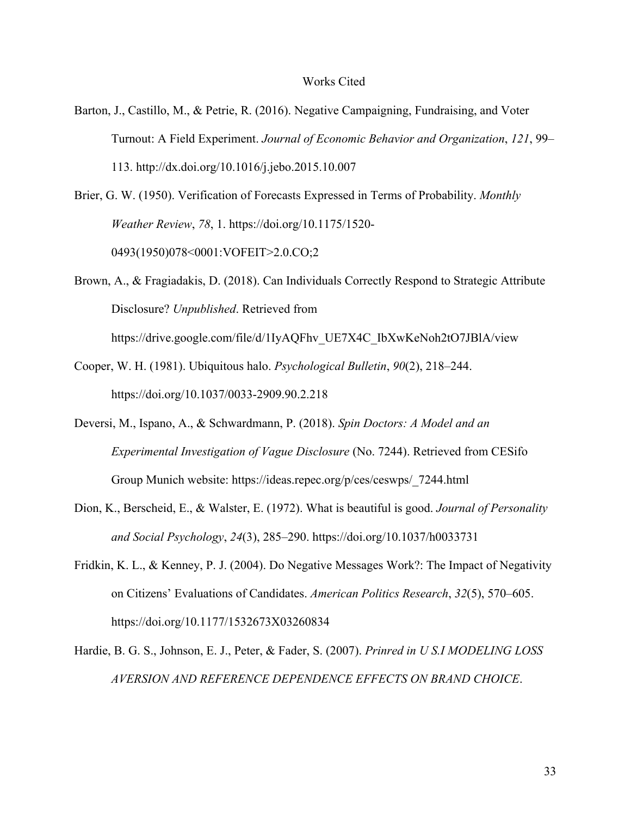#### Works Cited

- Barton, J., Castillo, M., & Petrie, R. (2016). Negative Campaigning, Fundraising, and Voter Turnout: A Field Experiment. *Journal of Economic Behavior and Organization*, *121*, 99– 113. http://dx.doi.org/10.1016/j.jebo.2015.10.007
- Brier, G. W. (1950). Verification of Forecasts Expressed in Terms of Probability. *Monthly Weather Review*, *78*, 1. https://doi.org/10.1175/1520- 0493(1950)078<0001:VOFEIT>2.0.CO;2
- Brown, A., & Fragiadakis, D. (2018). Can Individuals Correctly Respond to Strategic Attribute Disclosure? *Unpublished*. Retrieved from https://drive.google.com/file/d/1IyAQFhv\_UE7X4C\_IbXwKeNoh2tO7JBlA/view

- Cooper, W. H. (1981). Ubiquitous halo. *Psychological Bulletin*, *90*(2), 218–244. https://doi.org/10.1037/0033-2909.90.2.218
- Deversi, M., Ispano, A., & Schwardmann, P. (2018). *Spin Doctors: A Model and an Experimental Investigation of Vague Disclosure* (No. 7244). Retrieved from CESifo Group Munich website: https://ideas.repec.org/p/ces/ceswps/\_7244.html
- Dion, K., Berscheid, E., & Walster, E. (1972). What is beautiful is good. *Journal of Personality and Social Psychology*, *24*(3), 285–290. https://doi.org/10.1037/h0033731
- Fridkin, K. L., & Kenney, P. J. (2004). Do Negative Messages Work?: The Impact of Negativity on Citizens' Evaluations of Candidates. *American Politics Research*, *32*(5), 570–605. https://doi.org/10.1177/1532673X03260834
- Hardie, B. G. S., Johnson, E. J., Peter, & Fader, S. (2007). *Prinred in U S.I MODELING LOSS AVERSION AND REFERENCE DEPENDENCE EFFECTS ON BRAND CHOICE*.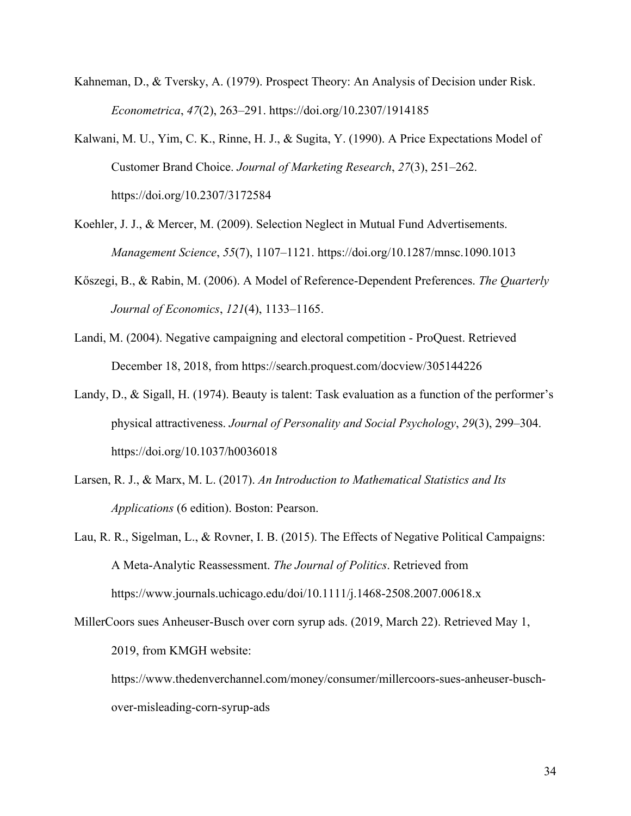- Kahneman, D., & Tversky, A. (1979). Prospect Theory: An Analysis of Decision under Risk. *Econometrica*, *47*(2), 263–291. https://doi.org/10.2307/1914185
- Kalwani, M. U., Yim, C. K., Rinne, H. J., & Sugita, Y. (1990). A Price Expectations Model of Customer Brand Choice. *Journal of Marketing Research*, *27*(3), 251–262. https://doi.org/10.2307/3172584
- Koehler, J. J., & Mercer, M. (2009). Selection Neglect in Mutual Fund Advertisements. *Management Science*, *55*(7), 1107–1121. https://doi.org/10.1287/mnsc.1090.1013
- Kőszegi, B., & Rabin, M. (2006). A Model of Reference-Dependent Preferences. *The Quarterly Journal of Economics*, *121*(4), 1133–1165.
- Landi, M. (2004). Negative campaigning and electoral competition ProQuest. Retrieved December 18, 2018, from https://search.proquest.com/docview/305144226
- Landy, D., & Sigall, H. (1974). Beauty is talent: Task evaluation as a function of the performer's physical attractiveness. *Journal of Personality and Social Psychology*, *29*(3), 299–304. https://doi.org/10.1037/h0036018
- Larsen, R. J., & Marx, M. L. (2017). *An Introduction to Mathematical Statistics and Its Applications* (6 edition). Boston: Pearson.
- Lau, R. R., Sigelman, L., & Rovner, I. B. (2015). The Effects of Negative Political Campaigns: A Meta-Analytic Reassessment. *The Journal of Politics*. Retrieved from https://www.journals.uchicago.edu/doi/10.1111/j.1468-2508.2007.00618.x
- MillerCoors sues Anheuser-Busch over corn syrup ads. (2019, March 22). Retrieved May 1, 2019, from KMGH website:

https://www.thedenverchannel.com/money/consumer/millercoors-sues-anheuser-buschover-misleading-corn-syrup-ads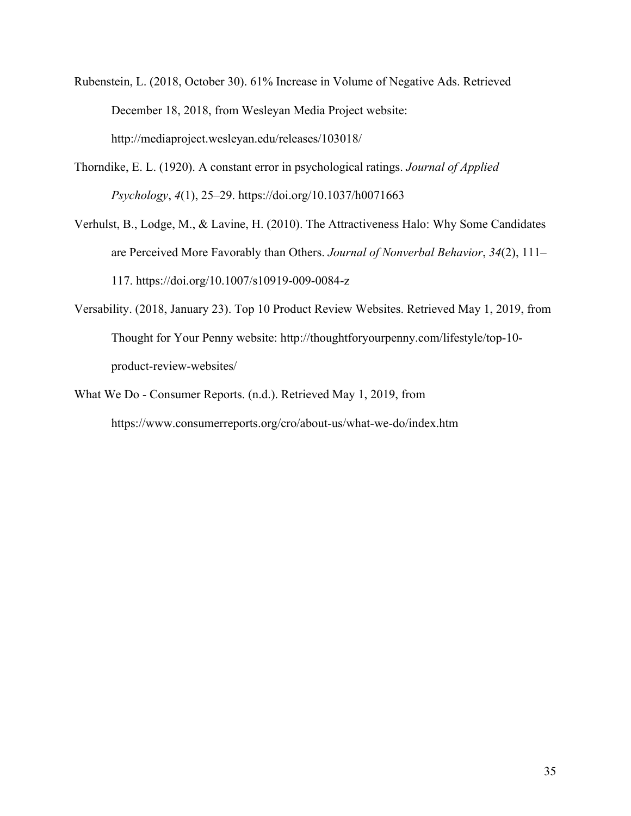- Rubenstein, L. (2018, October 30). 61% Increase in Volume of Negative Ads. Retrieved December 18, 2018, from Wesleyan Media Project website: http://mediaproject.wesleyan.edu/releases/103018/
- Thorndike, E. L. (1920). A constant error in psychological ratings. *Journal of Applied Psychology*, *4*(1), 25–29. https://doi.org/10.1037/h0071663
- Verhulst, B., Lodge, M., & Lavine, H. (2010). The Attractiveness Halo: Why Some Candidates are Perceived More Favorably than Others. *Journal of Nonverbal Behavior*, *34*(2), 111– 117. https://doi.org/10.1007/s10919-009-0084-z
- Versability. (2018, January 23). Top 10 Product Review Websites. Retrieved May 1, 2019, from Thought for Your Penny website: http://thoughtforyourpenny.com/lifestyle/top-10 product-review-websites/
- What We Do Consumer Reports. (n.d.). Retrieved May 1, 2019, from https://www.consumerreports.org/cro/about-us/what-we-do/index.htm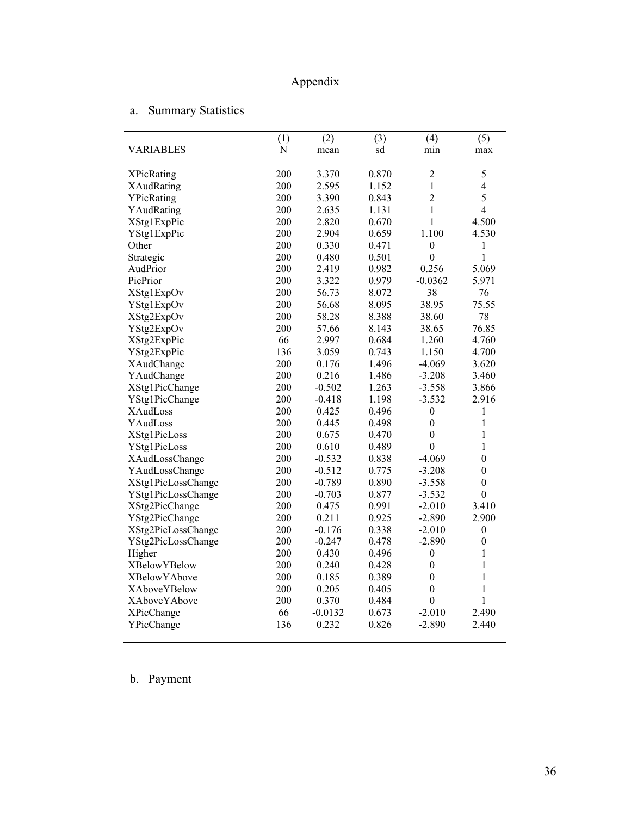# Appendix

# a. Summary Statistics

|                     | (1) | (2)       | (3)   | (4)              | (5)              |
|---------------------|-----|-----------|-------|------------------|------------------|
| <b>VARIABLES</b>    | N   | mean      | sd    | min              | max              |
|                     |     |           |       |                  |                  |
| <b>XPicRating</b>   | 200 | 3.370     | 0.870 | $\overline{c}$   | 5                |
| XAudRating          | 200 | 2.595     | 1.152 | 1                | 4                |
| YPicRating          | 200 | 3.390     | 0.843 | $\overline{c}$   | 5                |
| YAudRating          | 200 | 2.635     | 1.131 | 1                | $\overline{4}$   |
| XStg1ExpPic         | 200 | 2.820     | 0.670 | 1                | 4.500            |
| YStg1ExpPic         | 200 | 2.904     | 0.659 | 1.100            | 4.530            |
| Other               | 200 | 0.330     | 0.471 | $\boldsymbol{0}$ | 1                |
| Strategic           | 200 | 0.480     | 0.501 | $\mathbf{0}$     | $\mathbf{1}$     |
| AudPrior            | 200 | 2.419     | 0.982 | 0.256            | 5.069            |
| PicPrior            | 200 | 3.322     | 0.979 | $-0.0362$        | 5.971            |
| XStg1ExpOv          | 200 | 56.73     | 8.072 | 38               | 76               |
| YStg1ExpOv          | 200 | 56.68     | 8.095 | 38.95            | 75.55            |
| XStg2ExpOv          | 200 | 58.28     | 8.388 | 38.60            | 78               |
| YStg2ExpOv          | 200 | 57.66     | 8.143 | 38.65            | 76.85            |
| XStg2ExpPic         | 66  | 2.997     | 0.684 | 1.260            | 4.760            |
| YStg2ExpPic         | 136 | 3.059     | 0.743 | 1.150            | 4.700            |
| XAudChange          | 200 | 0.176     | 1.496 | $-4.069$         | 3.620            |
| YAudChange          | 200 | 0.216     | 1.486 | $-3.208$         | 3.460            |
| XStg1PicChange      | 200 | $-0.502$  | 1.263 | $-3.558$         | 3.866            |
| YStg1PicChange      | 200 | $-0.418$  | 1.198 | $-3.532$         | 2.916            |
| <b>XAudLoss</b>     | 200 | 0.425     | 0.496 | $\boldsymbol{0}$ | 1                |
| YAudLoss            | 200 | 0.445     | 0.498 | $\boldsymbol{0}$ | 1                |
| XStg1PicLoss        | 200 | 0.675     | 0.470 | $\boldsymbol{0}$ | $\mathbf{1}$     |
| YStg1PicLoss        | 200 | 0.610     | 0.489 | $\boldsymbol{0}$ | 1                |
| XAudLossChange      | 200 | $-0.532$  | 0.838 | $-4.069$         | $\boldsymbol{0}$ |
| YAudLossChange      | 200 | $-0.512$  | 0.775 | $-3.208$         | $\boldsymbol{0}$ |
| XStg1PicLossChange  | 200 | $-0.789$  | 0.890 | $-3.558$         | $\boldsymbol{0}$ |
| YStg1PicLossChange  | 200 | $-0.703$  | 0.877 | $-3.532$         | $\overline{0}$   |
| XStg2PicChange      | 200 | 0.475     | 0.991 | $-2.010$         | 3.410            |
| YStg2PicChange      | 200 | 0.211     | 0.925 | $-2.890$         | 2.900            |
| XStg2PicLossChange  | 200 | $-0.176$  | 0.338 | $-2.010$         | $\mathbf{0}$     |
| YStg2PicLossChange  | 200 | $-0.247$  | 0.478 | $-2.890$         | $\boldsymbol{0}$ |
| Higher              | 200 | 0.430     | 0.496 | $\boldsymbol{0}$ | 1                |
| <b>XBelowYBelow</b> | 200 | 0.240     | 0.428 | $\boldsymbol{0}$ | 1                |
| <b>XBelowYAbove</b> | 200 | 0.185     | 0.389 | $\boldsymbol{0}$ | $\mathbf{1}$     |
| <b>XAboveYBelow</b> | 200 | 0.205     | 0.405 | $\mathbf{0}$     | $\mathbf{1}$     |
| <b>XAboveYAbove</b> | 200 | 0.370     | 0.484 | $\boldsymbol{0}$ | $\mathbf{1}$     |
| <b>XPicChange</b>   | 66  | $-0.0132$ | 0.673 | $-2.010$         | 2.490            |
| YPicChange          | 136 | 0.232     | 0.826 | $-2.890$         | 2.440            |
|                     |     |           |       |                  |                  |

b. Payment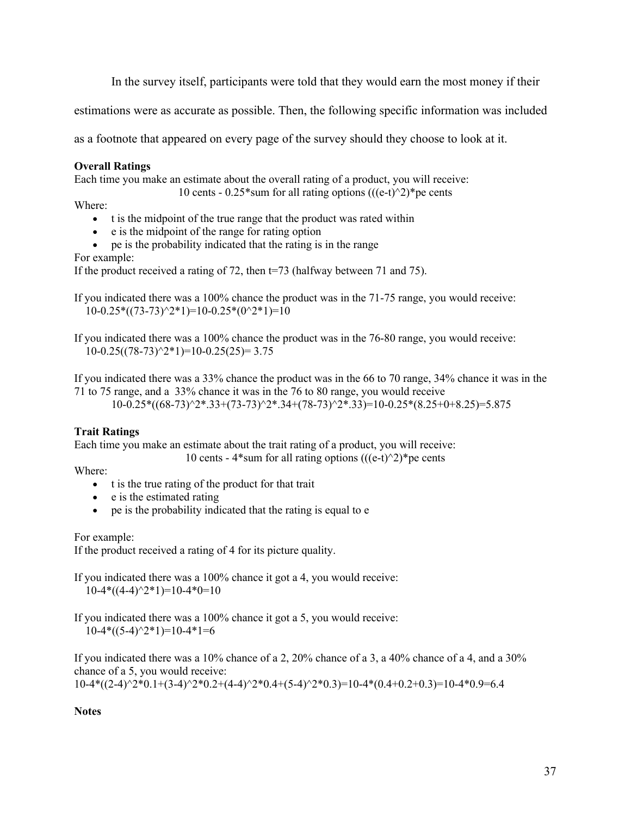In the survey itself, participants were told that they would earn the most money if their

estimations were as accurate as possible. Then, the following specific information was included

as a footnote that appeared on every page of the survey should they choose to look at it.

# **Overall Ratings**

Each time you make an estimate about the overall rating of a product, you will receive:

10 cents -  $0.25*$ sum for all rating options (((e-t) $\textdegree$ 2)\*pe cents

Where:

- t is the midpoint of the true range that the product was rated within
- e is the midpoint of the range for rating option
- pe is the probability indicated that the rating is in the range

For example:

If the product received a rating of 72, then t=73 (halfway between 71 and 75).

If you indicated there was a 100% chance the product was in the 71-75 range, you would receive:  $10-0.25*((73-73)^{2*1})=10-0.25*(0^2*1)=10$ 

If you indicated there was a 100% chance the product was in the 76-80 range, you would receive:  $10-0.25((78-73)^{2*1})=10-0.25(25)=3.75$ 

If you indicated there was a 33% chance the product was in the 66 to 70 range, 34% chance it was in the 71 to 75 range, and a 33% chance it was in the 76 to 80 range, you would receive  $10-0.25*((68-73)^{2*}.33+(73-73)^{2*}.34+(78-73)^{2*}.33)=10-0.25*(8.25+0+8.25)=5.875$ 

# **Trait Ratings**

Each time you make an estimate about the trait rating of a product, you will receive:

10 cents - 4\*sum for all rating options  $(((e-t)^2))^*$ pe cents

Where:

- t is the true rating of the product for that trait
- e is the estimated rating
- pe is the probability indicated that the rating is equal to e

For example:

If the product received a rating of 4 for its picture quality.

If you indicated there was a 100% chance it got a 4, you would receive:  $10-4*((4-4)^{2*1})=10-4*0=10$ 

If you indicated there was a 100% chance it got a 5, you would receive:  $10-4*((5-4)^{2*1})=10-4*1=6$ 

If you indicated there was a 10% chance of a 2, 20% chance of a 3, a 40% chance of a 4, and a 30% chance of a 5, you would receive:

 $10-4*((2-4)^{2}*0.1+(3-4)^{2}*0.2+(4-4)^{2}*0.4+(5-4)^{2}*0.3)=10-4*(0.4+0.2+0.3)=10-4*0.9=6.4$ 

**Notes**